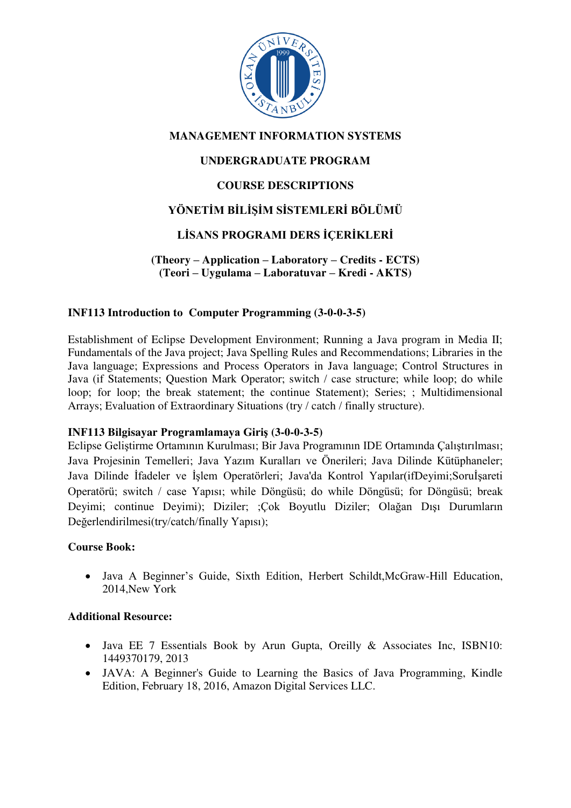

# **MANAGEMENT INFORMATION SYSTEMS**

# **UNDERGRADUATE PROGRAM**

# **COURSE DESCRIPTIONS**

# **YÖNETİM BİLİŞİM SİSTEMLERİ BÖLÜMÜ**

# **LİSANS PROGRAMI DERS İÇERİKLERİ**

**(Theory – Application – Laboratory – Credits - ECTS) (Teori – Uygulama – Laboratuvar – Kredi - AKTS)** 

### **INF113 Introduction to Computer Programming (3-0-0-3-5)**

Establishment of Eclipse Development Environment; Running a Java program in Media II; Fundamentals of the Java project; Java Spelling Rules and Recommendations; Libraries in the Java language; Expressions and Process Operators in Java language; Control Structures in Java (if Statements; Question Mark Operator; switch / case structure; while loop; do while loop; for loop; the break statement; the continue Statement); Series; ; Multidimensional Arrays; Evaluation of Extraordinary Situations (try / catch / finally structure).

#### **INF113 Bilgisayar Programlamaya Giriş (3-0-0-3-5)**

Eclipse [Geliştirme Ortamının Kurulması](https://gelecegiyazanlar.turkcell.com.tr/konu/android/egitim/android-101/eclipse-gelistirme-ortaminin-kurulmasi); [Bir Java Programının IDE Ortamında Çalıştırılması](https://gelecegiyazanlar.turkcell.com.tr/konu/android/egitim/android-101/bir-java-programinin-ide-ortaminda-calistirilmasi); [Java Projesinin Temelleri;](https://gelecegiyazanlar.turkcell.com.tr/konu/android/egitim/android-101/java-projesinin-temelleri) [Java Yazım Kuralları ve Ö](https://gelecegiyazanlar.turkcell.com.tr/konu/android/egitim/android-101/java-yazim-kurallari-ve-onerileri)nerileri; [Java Dilinde Kütüphaneler](https://gelecegiyazanlar.turkcell.com.tr/konu/android/egitim/android-101/java-dilinde-kutuphaneler); [Java Dilinde İfadeler ve İşlem Operatörleri;](https://gelecegiyazanlar.turkcell.com.tr/konu/android/egitim/android-101/java-dilinde-ifadeler-ve-islem-operatorleri) Java'da Kontrol Yapılar([ifDeyimi;](https://gelecegiyazanlar.turkcell.com.tr/konu/android/egitim/android-101/if-deyimi)[Soruİşareti](https://gelecegiyazanlar.turkcell.com.tr/konu/android/egitim/android-101/soru-isareti-operatoru)  [Operatörü](https://gelecegiyazanlar.turkcell.com.tr/konu/android/egitim/android-101/soru-isareti-operatoru); [switch / case Yapısı](https://gelecegiyazanlar.turkcell.com.tr/konu/android/egitim/android-101/switch-case-yapisi); [while Döngüsü](https://gelecegiyazanlar.turkcell.com.tr/konu/android/egitim/android-101/while-dongusu); [do while Döngüsü](https://gelecegiyazanlar.turkcell.com.tr/konu/android/egitim/android-101/do-...-while-dongusu); [for Döngüsü](https://gelecegiyazanlar.turkcell.com.tr/konu/android/egitim/android-101/for-dongusu); [break](https://gelecegiyazanlar.turkcell.com.tr/konu/android/egitim/android-101/break-deyimi)  [Deyimi;](https://gelecegiyazanlar.turkcell.com.tr/konu/android/egitim/android-101/break-deyimi) [continue Deyimi\)](https://gelecegiyazanlar.turkcell.com.tr/konu/android/egitim/android-101/continue-deyimi); [Diziler;](https://gelecegiyazanlar.turkcell.com.tr/konu/android/egitim/android-101/diziler) [;](https://gelecegiyazanlar.turkcell.com.tr/konu/android/egitim/android-101/tek-boyutlu-diziler)[Çok Boyutlu Diziler](https://gelecegiyazanlar.turkcell.com.tr/konu/android/egitim/android-101/tek-boyutlu-diziler); [Olağan Dışı Durumların](https://gelecegiyazanlar.turkcell.com.tr/konu/android/egitim/android-101/olagan-disi-durumlarin-degerlendirilmesi)  [Değerlendirilmesi](https://gelecegiyazanlar.turkcell.com.tr/konu/android/egitim/android-101/olagan-disi-durumlarin-degerlendirilmesi)([try/catch/finally Yapısı](https://gelecegiyazanlar.turkcell.com.tr/konu/android/egitim/android-101/trycatchfinally-yapisi));

#### **Course Book:**

 Java A Beginner's Guide, Sixth Edition, Herbert Schildt,McGraw-Hill Education, 2014,New York

- Java EE 7 Essentials Book by Arun Gupta, Oreilly & Associates Inc, ISBN10: 1449370179, 2013
- JAVA: A Beginner's Guide to Learning the Basics of Java Programming, Kindle Edition, February 18, 2016, Amazon Digital Services LLC.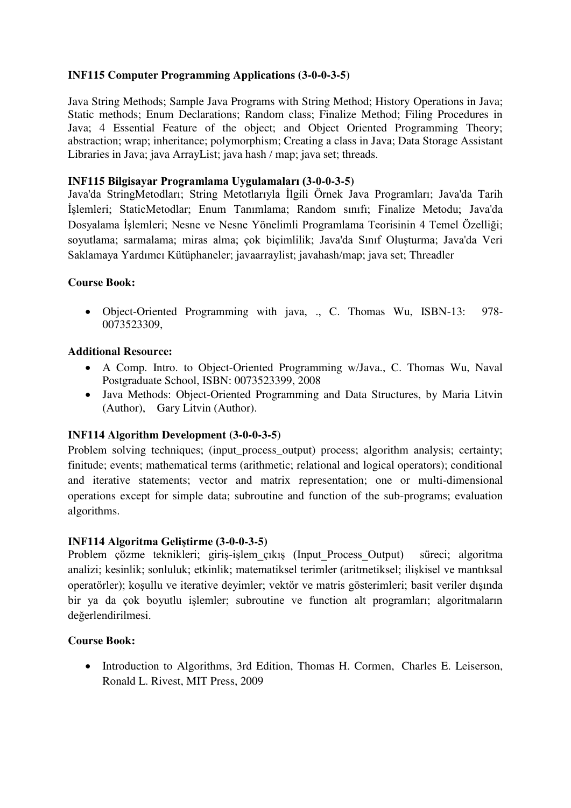# **INF115 Computer Programming Applications (3-0-0-3-5)**

Java String Methods; Sample Java Programs with String Method; History Operations in Java; Static methods; Enum Declarations; Random class; Finalize Method; Filing Procedures in Java; 4 Essential Feature of the object; and Object Oriented Programming Theory; abstraction; wrap; inheritance; polymorphism; Creating a class in Java; Data Storage Assistant Libraries in Java; java ArrayList; java hash / map; java set; threads.

## **INF115 Bilgisayar Programlama Uygulamaları (3-0-0-3-5)**

[Java'da StringMetodları](https://gelecegiyazanlar.turkcell.com.tr/konu/android/egitim/android-101/javada-string-metodlari); [String Metotlarıyla İlgili Örnek Java Programları](https://gelecegiyazanlar.turkcell.com.tr/konu/android/egitim/android-101/string-metotlariyla-ilgili-ornek-java-programlari); [Java'da Tarih](https://gelecegiyazanlar.turkcell.com.tr/konu/android/egitim/android-101/javada-tarih-islemleri)  [İşlemleri;](https://gelecegiyazanlar.turkcell.com.tr/konu/android/egitim/android-101/javada-tarih-islemleri) StaticMetodlar; Enum Tanımlama; Random sınıfı; Finalize Metodu; [Java'da](https://gelecegiyazanlar.turkcell.com.tr/konu/android/egitim/android-101/javada-dosya-islemleri)  [Dosyalama İşlemleri](https://gelecegiyazanlar.turkcell.com.tr/konu/android/egitim/android-101/javada-dosya-islemleri); [Nesne ve Nesne Yönelimli Programlama Teorisinin 4 Temel Özelliği](https://gelecegiyazanlar.turkcell.com.tr/konu/android/egitim/android-101/nesne-ve-nesne-yonelimli-programlama-teorisinin-4-temel-ozelligi); soyutlama; sarmalama; miras alma; çok biçimlilik; [Java'da Sınıf Oluşturma](https://gelecegiyazanlar.turkcell.com.tr/konu/android/egitim/android-101/javada-sinif-olusturma); [Java'da Veri](https://gelecegiyazanlar.turkcell.com.tr/konu/android/egitim/android-101/javada-veri-saklamaya-yardimci-kutuphaneler)  [Saklamaya Yardımcı Kütüphaneler](https://gelecegiyazanlar.turkcell.com.tr/konu/android/egitim/android-101/javada-veri-saklamaya-yardimci-kutuphaneler); javaarraylist; javahash/map; java set; [Threadler](https://gelecegiyazanlar.turkcell.com.tr/konu/android/egitim/android-101/threadler) 

### **Course Book:**

 Object-Oriented Programming with java, ., C. Thomas Wu, ISBN-13: 978- 0073523309,

### **Additional Resource:**

- A Comp. Intro. to Object-Oriented Programming w/Java., C. Thomas Wu, Naval Postgraduate School, ISBN: 0073523399, 2008
- Java Methods: Object-Oriented Programming and Data Structures, by Maria Litvin (Author), Gary Litvin (Author).

#### **INF114 Algorithm Development (3-0-0-3-5)**

Problem solving techniques; (input\_process\_output) process; algorithm analysis; certainty; finitude; events; mathematical terms (arithmetic; relational and logical operators); conditional and iterative statements; vector and matrix representation; one or multi-dimensional operations except for simple data; subroutine and function of the sub-programs; evaluation algorithms.

#### **INF114 Algoritma Geliştirme (3-0-0-3-5)**

Problem çözme teknikleri; giriş-işlem\_çıkış (Input\_Process\_Output) süreci; algoritma analizi; kesinlik; sonluluk; etkinlik; matematiksel terimler (aritmetiksel; ilişkisel ve mantıksal operatörler); koşullu ve iterative deyimler; vektör ve matris gösterimleri; basit veriler dışında bir ya da çok boyutlu işlemler; subroutine ve function alt programları; algoritmaların değerlendirilmesi.

#### **Course Book:**

 Introduction to Algorithms, 3rd Edition, [Thomas H. Cormen,](https://www.amazon.com/Thomas-H.-Cormen/e/B000AQ24AS/ref=dp_byline_cont_book_1) [Charles E. Leiserson,](https://www.amazon.com/Charles-E.-Leiserson/e/B000AQ6W9W/ref=dp_byline_cont_book_2) [Ronald L. Rivest,](https://www.amazon.com/Ronald-L.-Rivest/e/B000AQ24MQ/ref=dp_byline_cont_book_3) MIT Press, 2009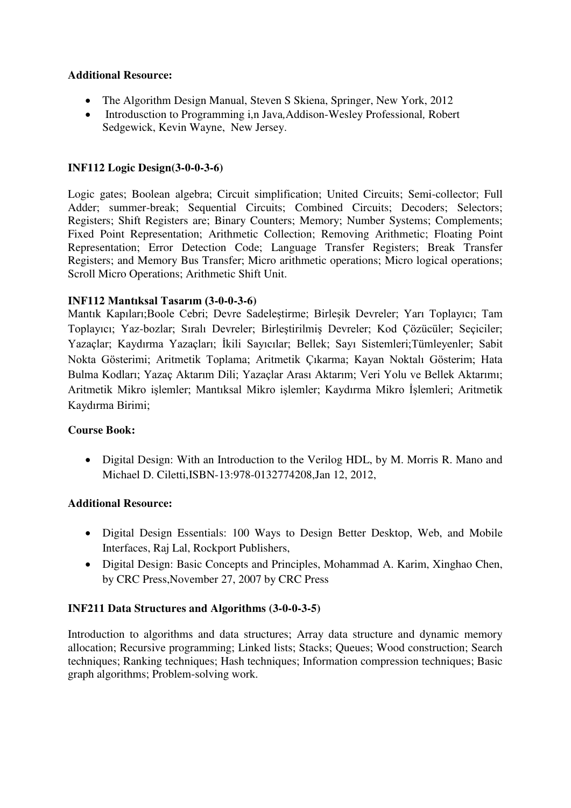## **Additional Resource:**

- The Algorithm Design Manual, [Steven S Skiena,](https://www.amazon.com/s/ref=dp_byline_sr_book_1?ie=UTF8&text=Steven+S+Skiena&search-alias=books&field-author=Steven+S+Skiena&sort=relevancerank) Springer, New York, 2012
- Introdusction to Programming i,n Java*,*Addison-Wesley Professional*,* Robert Sedgewick, Kevin Wayne, New Jersey.

# **INF112 Logic Design(3-0-0-3-6)**

Logic gates; Boolean algebra; Circuit simplification; United Circuits; Semi-collector; Full Adder; summer-break; Sequential Circuits; Combined Circuits; Decoders; Selectors; Registers; Shift Registers are; Binary Counters; Memory; Number Systems; Complements; Fixed Point Representation; Arithmetic Collection; Removing Arithmetic; Floating Point Representation; Error Detection Code; Language Transfer Registers; Break Transfer Registers; and Memory Bus Transfer; Micro arithmetic operations; Micro logical operations; Scroll Micro Operations; Arithmetic Shift Unit.

## **INF112 Mantıksal Tasarım (3-0-0-3-6)**

Mantık Kapıları;Boole Cebri; Devre Sadeleştirme; Birleşik Devreler; Yarı Toplayıcı; Tam Toplayıcı; Yaz-bozlar; Sıralı Devreler; Birleştirilmiş Devreler; Kod Çözücüler; Seçiciler; Yazaçlar; Kaydırma Yazaçları; İkili Sayıcılar; Bellek; Sayı Sistemleri;Tümleyenler; Sabit Nokta Gösterimi; Aritmetik Toplama; Aritmetik Çıkarma; Kayan Noktalı Gösterim; Hata Bulma Kodları; Yazaç Aktarım Dili; Yazaçlar Arası Aktarım; Veri Yolu ve Bellek Aktarımı; Aritmetik Mikro işlemler; Mantıksal Mikro işlemler; Kaydırma Mikro İşlemleri; Aritmetik Kaydırma Birimi;

## **Course Book:**

• Digital Design: With an Introduction to the Verilog HDL, by M. Morris R. Mano and Michael D. Ciletti,ISBN-13:978-0132774208,Jan 12, 2012,

## **Additional Resource:**

- Digital Design Essentials: 100 Ways to Design Better Desktop, Web, and Mobile Interfaces, Raj Lal, Rockport Publishers,
- Digital Design: Basic Concepts and Principles, Mohammad A. Karim, Xinghao Chen, by CRC Press,November 27, 2007 by CRC Press

## **INF211 Data Structures and Algorithms (3-0-0-3-5)**

Introduction to algorithms and data structures; Array data structure and dynamic memory allocation; Recursive programming; Linked lists; Stacks; Queues; Wood construction; Search techniques; Ranking techniques; Hash techniques; Information compression techniques; Basic graph algorithms; Problem-solving work.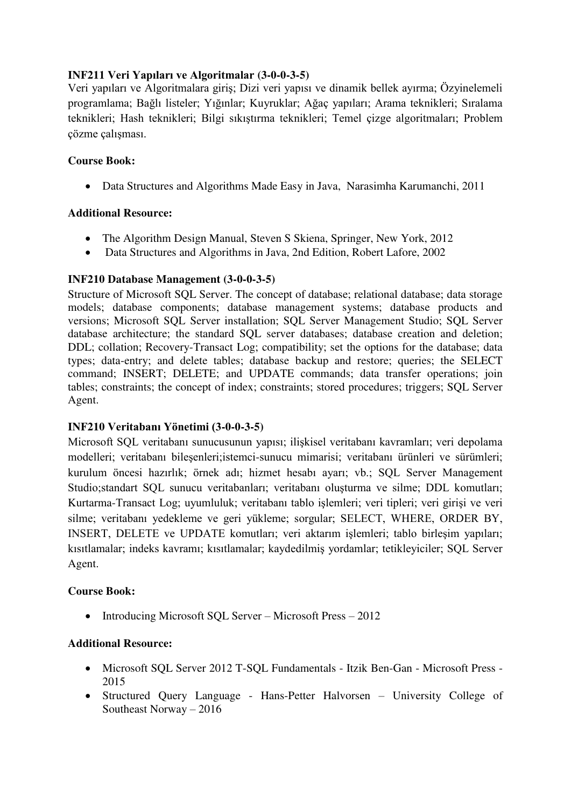# **INF211 Veri Yapıları ve Algoritmalar (3-0-0-3-5)**

Veri yapıları ve Algoritmalara giriş; Dizi veri yapısı ve dinamik bellek ayırma; Özyinelemeli programlama; Bağlı listeler; Yığınlar; Kuyruklar; Ağaç yapıları; Arama teknikleri; Sıralama teknikleri; Hash teknikleri; Bilgi sıkıştırma teknikleri; Temel çizge algoritmaları; Problem çözme çalışması.

## **Course Book:**

Data Structures and Algorithms Made Easy in Java, [Narasimha Karumanchi,](http://www.amazon.in/Narasimha-Karumanchi/e/B004S7ZXQM/ref=dp_byline_cont_book_1) 2011

## **Additional Resource:**

- The Algorithm Design Manual, [Steven S Skiena,](https://www.amazon.com/s/ref=dp_byline_sr_book_1?ie=UTF8&text=Steven+S+Skiena&search-alias=books&field-author=Steven+S+Skiena&sort=relevancerank) Springer, New York, 2012
- Data Structures and Algorithms in Java, 2nd Edition, Robert Lafore, 2002

## **INF210 Database Management (3-0-0-3-5)**

Structure of Microsoft SQL Server. The concept of database; relational database; data storage models; database components; database management systems; database products and versions; Microsoft SQL Server installation; SQL Server Management Studio; SQL Server database architecture; the standard SQL server databases; database creation and deletion; DDL; collation; Recovery-Transact Log; compatibility; set the options for the database; data types; data-entry; and delete tables; database backup and restore; queries; the SELECT command; INSERT; DELETE; and UPDATE commands; data transfer operations; join tables; constraints; the concept of index; constraints; stored procedures; triggers; SQL Server Agent.

# **INF210 Veritabanı Yönetimi (3-0-0-3-5)**

Microsoft SQL veritabanı sunucusunun yapısı; ilişkisel veritabanı kavramları; veri depolama modelleri; veritabanı bileşenleri;istemci-sunucu mimarisi; veritabanı ürünleri ve sürümleri; kurulum öncesi hazırlık; örnek adı; hizmet hesabı ayarı; vb.; SQL Server Management Studio;standart SQL sunucu veritabanları; veritabanı oluşturma ve silme; DDL komutları; Kurtarma-Transact Log; uyumluluk; veritabanı tablo işlemleri; veri tipleri; veri girişi ve veri silme; veritabanı yedekleme ve geri yükleme; sorgular; SELECT, WHERE, ORDER BY, INSERT, DELETE ve UPDATE komutları; veri aktarım işlemleri; tablo birleşim yapıları; kısıtlamalar; indeks kavramı; kısıtlamalar; kaydedilmiş yordamlar; tetikleyiciler; SQL Server Agent.

## **Course Book:**

• Introducing Microsoft SQL Server – Microsoft Press – 2012

- Microsoft SQL Server 2012 T-SQL Fundamentals Itzik Ben-Gan Microsoft Press 2015
- Structured Query Language Hans-Petter Halvorsen University College of Southeast Norway – 2016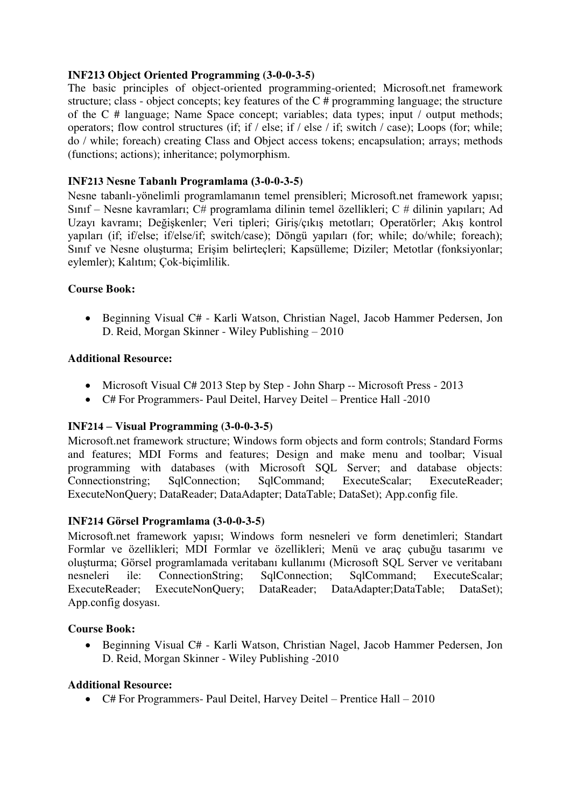### **INF213 Object Oriented Programming (3-0-0-3-5)**

The basic principles of object-oriented programming-oriented; Microsoft.net framework structure; class - object concepts; key features of the C # programming language; the structure of the C # language; Name Space concept; variables; data types; input / output methods; operators; flow control structures (if; if / else; if / else / if; switch / case); Loops (for; while; do / while; foreach) creating Class and Object access tokens; encapsulation; arrays; methods (functions; actions); inheritance; polymorphism.

## **INF213 Nesne Tabanlı Programlama (3-0-0-3-5)**

Nesne tabanlı-yönelimli programlamanın temel prensibleri; Microsoft.net framework yapısı; Sınıf – Nesne kavramları; C# programlama dilinin temel özellikleri; C # dilinin yapıları; Ad Uzayı kavramı; Değişkenler; Veri tipleri; Giriş/çıkış metotları; Operatörler; Akış kontrol yapıları (if; if/else; if/else/if; switch/case); Döngü yapıları (for; while; do/while; foreach); Sınıf ve Nesne oluşturma; Erişim belirteçleri; Kapsülleme; Diziler; Metotlar (fonksiyonlar; eylemler); Kalıtım; Çok-biçimlilik.

### **Course Book:**

 Beginning Visual C# - Karli Watson, Christian Nagel, Jacob Hammer Pedersen, Jon D. Reid, Morgan Skinner - Wiley Publishing – 2010

#### **Additional Resource:**

- Microsoft Visual C# 2013 Step by Step John Sharp -- Microsoft Press 2013
- C# For Programmers- Paul Deitel, Harvey Deitel Prentice Hall -2010

#### **INF214 – Visual Programming (3-0-0-3-5)**

Microsoft.net framework structure; Windows form objects and form controls; Standard Forms and features; MDI Forms and features; Design and make menu and toolbar; Visual programming with databases (with Microsoft SQL Server; and database objects: Connectionstring; SqlConnection; SqlCommand; ExecuteScalar; ExecuteReader; ExecuteNonQuery; DataReader; DataAdapter; DataTable; DataSet); App.config file.

## **INF214 Görsel Programlama (3-0-0-3-5)**

Microsoft.net framework yapısı; Windows form nesneleri ve form denetimleri; Standart Formlar ve özellikleri; MDI Formlar ve özellikleri; Menü ve araç çubuğu tasarımı ve oluşturma; Görsel programlamada veritabanı kullanımı (Microsoft SQL Server ve veritabanı nesneleri ile: ConnectionString; SqlConnection; SqlCommand; ExecuteScalar; ExecuteReader; ExecuteNonQuery; DataReader; DataAdapter;DataTable; DataSet); App.config dosyası.

### **Course Book:**

 Beginning Visual C# - Karli Watson, Christian Nagel, Jacob Hammer Pedersen, Jon D. Reid, Morgan Skinner - Wiley Publishing -2010

#### **Additional Resource:**

C# For Programmers- Paul Deitel, Harvey Deitel – Prentice Hall – 2010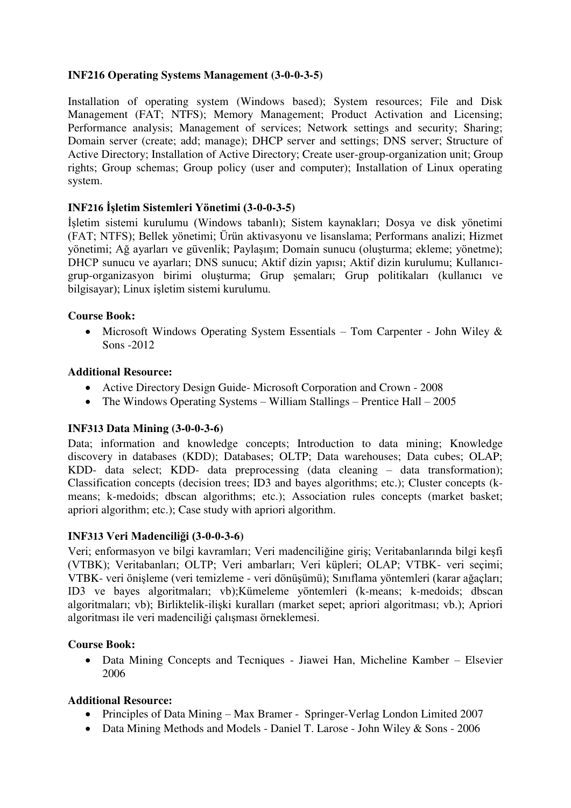## **INF216 Operating Systems Management (3-0-0-3-5)**

Installation of operating system (Windows based); System resources; File and Disk Management (FAT; NTFS); Memory Management; Product Activation and Licensing; Performance analysis; Management of services; Network settings and security; Sharing; Domain server (create; add; manage); DHCP server and settings; DNS server; Structure of Active Directory; Installation of Active Directory; Create user-group-organization unit; Group rights; Group schemas; Group policy (user and computer); Installation of Linux operating system.

# **INF216 İşletim Sistemleri Yönetimi (3-0-0-3-5)**

İşletim sistemi kurulumu (Windows tabanlı); Sistem kaynakları; Dosya ve disk yönetimi (FAT; NTFS); Bellek yönetimi; Ürün aktivasyonu ve lisanslama; Performans analizi; Hizmet yönetimi; Ağ ayarları ve güvenlik; Paylaşım; Domain sunucu (oluşturma; ekleme; yönetme); DHCP sunucu ve ayarları; DNS sunucu; Aktif dizin yapısı; Aktif dizin kurulumu; Kullanıcıgrup-organizasyon birimi oluşturma; Grup şemaları; Grup politikaları (kullanıcı ve bilgisayar); Linux işletim sistemi kurulumu.

## **Course Book:**

• Microsoft Windows Operating System Essentials – Tom Carpenter - John Wiley & Sons -2012

### **Additional Resource:**

- Active Directory Design Guide- Microsoft Corporation and Crown 2008
- The Windows Operating Systems William Stallings Prentice Hall 2005

## **INF313 Data Mining (3-0-0-3-6)**

Data; information and knowledge concepts; Introduction to data mining; Knowledge discovery in databases (KDD); Databases; OLTP; Data warehouses; Data cubes; OLAP; KDD- data select; KDD- data preprocessing (data cleaning – data transformation); Classification concepts (decision trees; ID3 and bayes algorithms; etc.); Cluster concepts (kmeans; k-medoids; dbscan algorithms; etc.); Association rules concepts (market basket; apriori algorithm; etc.); Case study with apriori algorithm.

## **INF313 Veri Madenciliği (3-0-0-3-6)**

Veri; enformasyon ve bilgi kavramları; Veri madenciliğine giriş; Veritabanlarında bilgi keşfi (VTBK); Veritabanları; OLTP; Veri ambarları; Veri küpleri; OLAP; VTBK- veri seçimi; VTBK- veri önişleme (veri temizleme - veri dönüşümü); Sınıflama yöntemleri (karar ağaçları; ID3 ve bayes algoritmaları; vb);Kümeleme yöntemleri (k-means; k-medoids; dbscan algoritmaları; vb); Birliktelik-ilişki kuralları (market sepet; apriori algoritması; vb.); Apriori algoritması ile veri madenciliği çalışması örneklemesi.

#### **Course Book:**

 Data Mining Concepts and Tecniques - Jiawei Han, Micheline Kamber – Elsevier 2006

- Principles of Data Mining Max Bramer Springer-Verlag London Limited 2007
- Data Mining Methods and Models Daniel T. Larose John Wiley & Sons 2006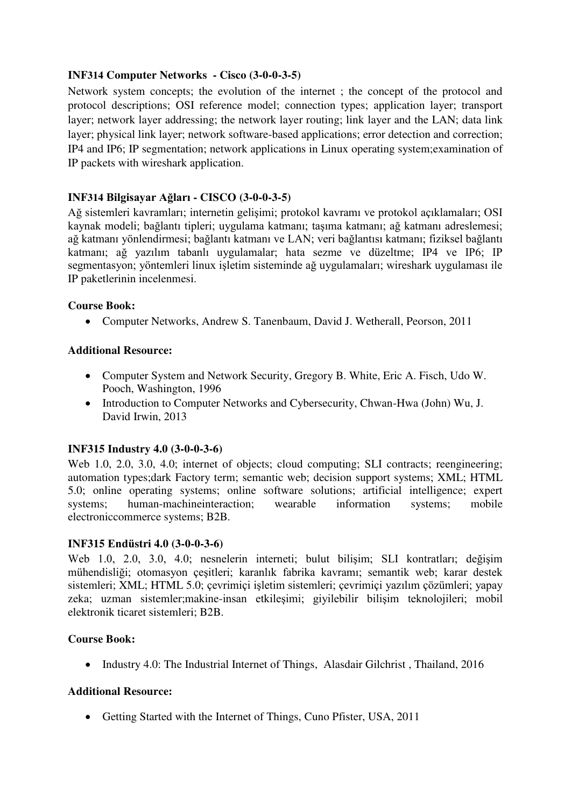### **INF314 Computer Networks - Cisco (3-0-0-3-5)**

Network system concepts; the evolution of the internet ; the concept of the protocol and protocol descriptions; OSI reference model; connection types; application layer; transport layer; network layer addressing; the network layer routing; link layer and the LAN; data link layer; physical link layer; network software-based applications; error detection and correction; IP4 and IP6; IP segmentation; network applications in Linux operating system;examination of IP packets with wireshark application.

### **INF314 Bilgisayar Ağları - CISCO (3-0-0-3-5)**

Ağ sistemleri kavramları; internetin gelişimi; protokol kavramı ve protokol açıklamaları; OSI kaynak modeli; bağlantı tipleri; uygulama katmanı; taşıma katmanı; ağ katmanı adreslemesi; ağ katmanı yönlendirmesi; bağlantı katmanı ve LAN; veri bağlantısı katmanı; fiziksel bağlantı katmanı; ağ yazılım tabanlı uygulamalar; hata sezme ve düzeltme; IP4 ve IP6; IP segmentasyon; yöntemleri linux işletim sisteminde ağ uygulamaları; wireshark uygulaması ile IP paketlerinin incelenmesi.

#### **Course Book:**

Computer Networks, [Andrew S. Tanenbaum,](https://www.amazon.com/Andrew-S.-Tanenbaum/e/B000AQ1UBW/ref=dp_byline_cont_book_1) [David J. Wetherall,](https://www.amazon.com/David-J.-Wetherall/e/B0046BU0EU/ref=dp_byline_cont_book_2) Peorson, 2011

### **Additional Resource:**

- Computer System and Network Security, Gregory B. White, Eric A. Fisch, Udo W. Pooch, Washington, 1996
- Introduction to Computer Networks and Cybersecurity, Chwan-Hwa (John) Wu, J. David Irwin, 2013

## **INF315 Industry 4.0 (3-0-0-3-6)**

Web 1.0, 2.0, 3.0, 4.0; internet of objects; cloud computing; SLI contracts; reengineering; automation types;dark Factory term; semantic web; decision support systems; XML; HTML 5.0; online operating systems; online software solutions; artificial intelligence; expert systems; human-machineinteraction; wearable information systems; mobile electroniccommerce systems; B2B.

#### **INF315 Endüstri 4.0 (3-0-0-3-6)**

Web 1.0, 2.0, 3.0, 4.0; nesnelerin interneti; bulut bilişim; SLI kontratları; değişim mühendisliği; otomasyon çeşitleri; karanlık fabrika kavramı; semantik web; karar destek sistemleri; XML; HTML 5.0; çevrimiçi işletim sistemleri; çevrimiçi yazılım çözümleri; yapay zeka; uzman sistemler;makine-insan etkileşimi; giyilebilir bilişim teknolojileri; mobil elektronik ticaret sistemleri; B2B.

#### **Course Book:**

• Industry 4.0: The Industrial Internet of Things, Alasdair Gilchrist, Thailand, 2016

#### **Additional Resource:**

• Getting Started with the Internet of Things, [Cuno Pfister,](https://www.amazon.com/Cuno-Pfister/e/B0074O8EF8/ref=dp_byline_cont_book_1) USA, 2011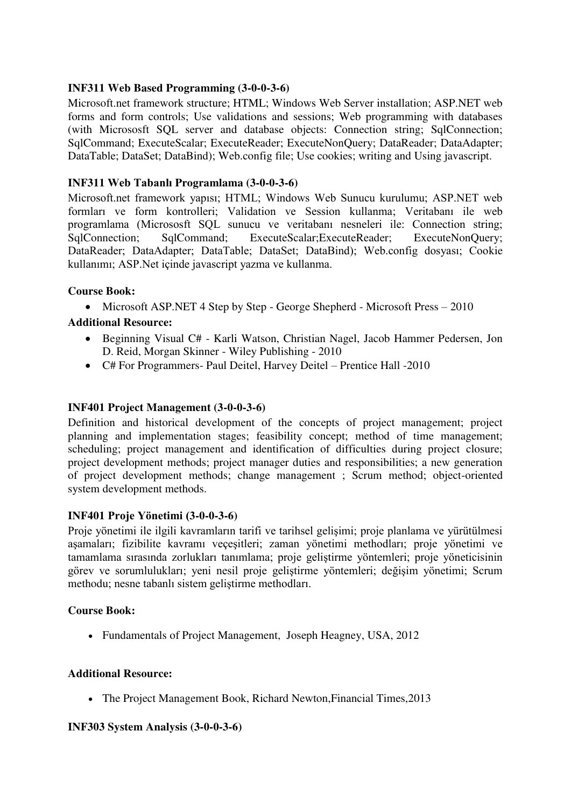### **INF311 Web Based Programming (3-0-0-3-6)**

Microsoft.net framework structure; HTML; Windows Web Server installation; ASP.NET web forms and form controls; Use validations and sessions; Web programming with databases (with Micrososft SQL server and database objects: Connection string; SqlConnection; SqlCommand; ExecuteScalar; ExecuteReader; ExecuteNonQuery; DataReader; DataAdapter; DataTable; DataSet; DataBind); Web.config file; Use cookies; writing and Using javascript.

### **INF311 Web Tabanlı Programlama (3-0-0-3-6)**

Microsoft.net framework yapısı; HTML; Windows Web Sunucu kurulumu; ASP.NET web formları ve form kontrolleri; Validation ve Session kullanma; Veritabanı ile web programlama (Micrososft SQL sunucu ve veritabanı nesneleri ile: Connection string; SqlConnection; SqlCommand; ExecuteScalar;ExecuteReader; ExecuteNonQuery; DataReader; DataAdapter; DataTable; DataSet; DataBind); Web.config dosyası; Cookie kullanımı; ASP.Net içinde javascript yazma ve kullanma.

### **Course Book:**

• Microsoft ASP.NET 4 Step by Step - George Shepherd - Microsoft Press – 2010

## **Additional Resource:**

- Beginning Visual C# Karli Watson, Christian Nagel, Jacob Hammer Pedersen, Jon D. Reid, Morgan Skinner - Wiley Publishing - 2010
- C# For Programmers- Paul Deitel, Harvey Deitel Prentice Hall -2010

### **INF401 Project Management (3-0-0-3-6)**

Definition and historical development of the concepts of project management; project planning and implementation stages; feasibility concept; method of time management; scheduling; project management and identification of difficulties during project closure; project development methods; project manager duties and responsibilities; a new generation of project development methods; change management ; Scrum method; object-oriented system development methods.

## **INF401 Proje Yönetimi (3-0-0-3-6)**

Proje yönetimi ile ilgili kavramların tarifi ve tarihsel gelişimi; proje planlama ve yürütülmesi aşamaları; fizibilite kavramı veçeşitleri; zaman yönetimi methodları; proje yönetimi ve tamamlama sırasında zorlukları tanımlama; proje geliştirme yöntemleri; proje yöneticisinin görev ve sorumlulukları; yeni nesil proje geliştirme yöntemleri; değişim yönetimi; Scrum methodu; nesne tabanlı sistem geliştirme methodları.

#### **Course Book:**

• Fundamentals of Project Management, [Joseph Heagney,](https://www.amazon.com/Joseph-Heagney/e/B00DWGCIX6/ref=dp_byline_cont_book_1) USA, 2012

#### **Additional Resource:**

• The Project Management Book, Richard Newton, Financial Times, 2013

#### **INF303 System Analysis (3-0-0-3-6)**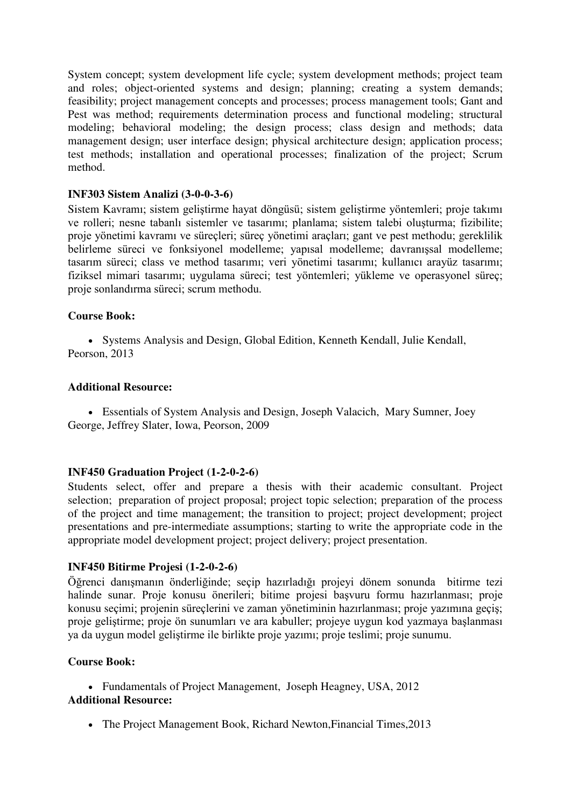System concept; system development life cycle; system development methods; project team and roles; object-oriented systems and design; planning; creating a system demands; feasibility; project management concepts and processes; process management tools; Gant and Pest was method; requirements determination process and functional modeling; structural modeling; behavioral modeling; the design process; class design and methods; data management design; user interface design; physical architecture design; application process; test methods; installation and operational processes; finalization of the project; Scrum method.

### **INF303 Sistem Analizi (3-0-0-3-6)**

Sistem Kavramı; sistem geliştirme hayat döngüsü; sistem geliştirme yöntemleri; proje takımı ve rolleri; nesne tabanlı sistemler ve tasarımı; planlama; sistem talebi oluşturma; fizibilite; proje yönetimi kavramı ve süreçleri; süreç yönetimi araçları; gant ve pest methodu; gereklilik belirleme süreci ve fonksiyonel modelleme; yapısal modelleme; davranışsal modelleme; tasarım süreci; class ve method tasarımı; veri yönetimi tasarımı; kullanıcı arayüz tasarımı; fiziksel mimari tasarımı; uygulama süreci; test yöntemleri; yükleme ve operasyonel süreç; proje sonlandırma süreci; scrum methodu.

### **Course Book:**

 Systems Analysis and Design, Global Edition, Kenneth Kendall, Julie Kendall, Peorson, 2013

#### **Additional Resource:**

 Essentials of System Analysis and Design, Joseph Valacich, Mary Sumner, Joey George, Jeffrey Slater, Iowa, Peorson, 2009

#### **INF450 Graduation Project (1-2-0-2-6)**

Students select, offer and prepare a thesis with their academic consultant. Project selection; preparation of project proposal; project topic selection; preparation of the process of the project and time management; the transition to project; project development; project presentations and pre-intermediate assumptions; starting to write the appropriate code in the appropriate model development project; project delivery; project presentation.

#### **INF450 Bitirme Projesi (1-2-0-2-6)**

Öğrenci danışmanın önderliğinde; seçip hazırladığı projeyi dönem sonunda bitirme tezi halinde sunar. Proje konusu önerileri; bitime projesi başvuru formu hazırlanması; proje konusu seçimi; projenin süreçlerini ve zaman yönetiminin hazırlanması; proje yazımına geçiş; proje geliştirme; proje ön sunumları ve ara kabuller; projeye uygun kod yazmaya başlanması ya da uygun model geliştirme ile birlikte proje yazımı; proje teslimi; proje sunumu.

#### **Course Book:**

• Fundamentals of Project Management, [Joseph Heagney,](https://www.amazon.com/Joseph-Heagney/e/B00DWGCIX6/ref=dp_byline_cont_book_1) USA, 2012 **Additional Resource:**

• The Project Management Book, Richard Newton, Financial Times, 2013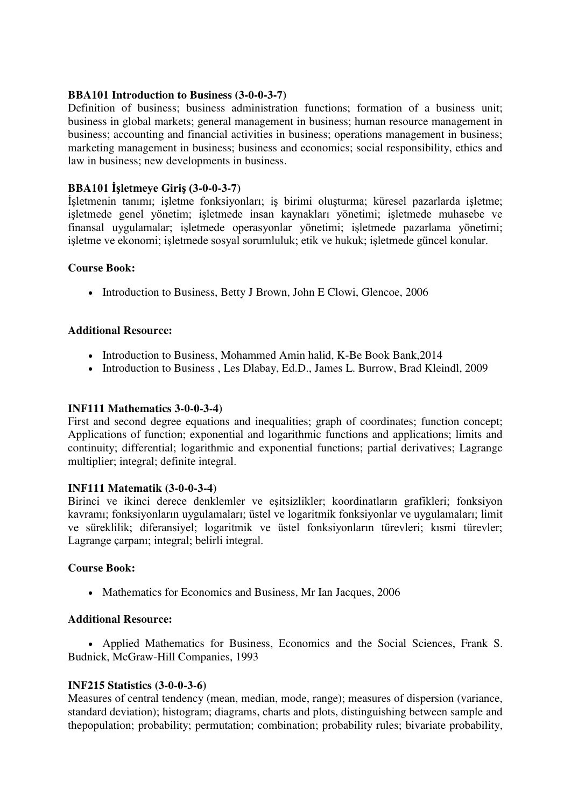### **BBA101 Introduction to Business (3-0-0-3-7)**

Definition of business; business administration functions; formation of a business unit; business in global markets; general management in business; human resource management in business; accounting and financial activities in business; operations management in business; marketing management in business; business and economics; social responsibility, ethics and law in business; new developments in business.

## **BBA101 İşletmeye Giriş (3-0-0-3-7)**

İşletmenin tanımı; işletme fonksiyonları; iş birimi oluşturma; küresel pazarlarda işletme; işletmede genel yönetim; işletmede insan kaynakları yönetimi; işletmede muhasebe ve finansal uygulamalar; işletmede operasyonlar yönetimi; işletmede pazarlama yönetimi; işletme ve ekonomi; işletmede sosyal sorumluluk; etik ve hukuk; işletmede güncel konular.

### **Course Book:**

• Introduction to Business, [Betty J Brown,](http://www.alibris.com/search/books/author/Betty-J-Brown?aid=667776) [John E Clowi](http://www.alibris.com/search/books/author/John-E-Clow?aid=978527), Glencoe, 2006

### **Additional Resource:**

- Introduction to Business, Mohammed Amin halid, K-Be Book Bank, 2014
- Introduction to Business, Les Dlabay, Ed.D., James L. Burrow, Brad Kleindl, 2009

### **INF111 Mathematics 3-0-0-3-4)**

First and second degree equations and inequalities; graph of coordinates; function concept; Applications of function; exponential and logarithmic functions and applications; limits and continuity; differential; logarithmic and exponential functions; partial derivatives; Lagrange multiplier; integral; definite integral.

## **INF111 Matematik (3-0-0-3-4)**

Birinci ve ikinci derece denklemler ve eşitsizlikler; koordinatların grafikleri; fonksiyon kavramı; fonksiyonların uygulamaları; üstel ve logaritmik fonksiyonlar ve uygulamaları; limit ve süreklilik; diferansiyel; logaritmik ve üstel fonksiyonların türevleri; kısmi türevler; Lagrange çarpanı; integral; belirli integral.

## **Course Book:**

• Mathematics for Economics and Business, [Mr Ian Jacques,](http://www.amazon.in/s/ref=dp_byline_sr_book_1?ie=UTF8&field-author=Mr+Ian+Jacques&search-alias=stripbooks) 2006

#### **Additional Resource:**

 Applied Mathematics for Business, Economics and the Social Sciences, Frank S. Budnick, McGraw-Hill Companies, 1993

#### **INF215 Statistics (3-0-0-3-6)**

Measures of central tendency (mean, median, mode, range); measures of dispersion (variance, standard deviation); histogram; diagrams, charts and plots, distinguishing between sample and thepopulation; probability; permutation; combination; probability rules; bivariate probability,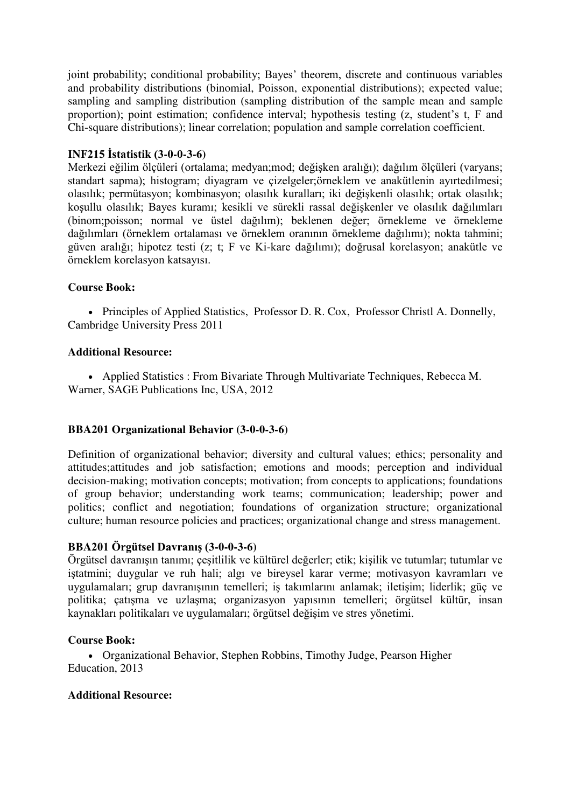joint probability; conditional probability; Bayes' theorem, discrete and continuous variables and probability distributions (binomial, Poisson, exponential distributions); expected value; sampling and sampling distribution (sampling distribution of the sample mean and sample proportion); point estimation; confidence interval; hypothesis testing (z, student's t, F and Chi-square distributions); linear correlation; population and sample correlation coefficient.

### **INF215 İstatistik (3-0-0-3-6)**

Merkezi eğilim ölçüleri (ortalama; medyan;mod; değişken aralığı); dağılım ölçüleri (varyans; standart sapma); histogram; diyagram ve çizelgeler;örneklem ve anakütlenin ayırtedilmesi; olasılık; permütasyon; kombinasyon; olasılık kuralları; iki değişkenli olasılık; ortak olasılık; koşullu olasılık; Bayes kuramı; kesikli ve sürekli rassal değişkenler ve olasılık dağılımları (binom;poisson; normal ve üstel dağılım); beklenen değer; örnekleme ve örnekleme dağılımları (örneklem ortalaması ve örneklem oranının örnekleme dağılımı); nokta tahmini; güven aralığı; hipotez testi (z; t; F ve Ki-kare dağılımı); doğrusal korelasyon; anakütle ve örneklem korelasyon katsayısı.

### **Course Book:**

• Principles of Applied Statistics, [Professor D. R. Cox,](https://www.amazon.com/s/ref=dp_byline_sr_book_1?ie=UTF8&text=Professor+D.+R.+Cox&search-alias=books&field-author=Professor+D.+R.+Cox&sort=relevancerank) [Professor Christl A. Donnelly,](https://www.amazon.com/s/ref=dp_byline_sr_book_2?ie=UTF8&text=Professor+Christl+A.+Donnelly&search-alias=books&field-author=Professor+Christl+A.+Donnelly&sort=relevancerank) Cambridge University Press 2011

### **Additional Resource:**

 Applied Statistics : From Bivariate Through Multivariate Techniques, [Rebecca M.](http://www.bookdepository.com/author/Rebecca-M-Warner)  [Warner,](http://www.bookdepository.com/author/Rebecca-M-Warner) [SAGE Publications Inc,](http://www.bookdepository.com/publishers/SAGE-Publications-Inc) USA, 2012

#### **BBA201 Organizational Behavior (3-0-0-3-6)**

Definition of organizational behavior; diversity and cultural values; ethics; personality and attitudes;attitudes and job satisfaction; emotions and moods; perception and individual decision-making; motivation concepts; motivation; from concepts to applications; foundations of group behavior; understanding work teams; communication; leadership; power and politics; conflict and negotiation; foundations of organization structure; organizational culture; human resource policies and practices; organizational change and stress management.

## **BBA201 Örgütsel Davranış (3-0-0-3-6)**

Örgütsel davranışın tanımı; çeşitlilik ve kültürel değerler; etik; kişilik ve tutumlar; tutumlar ve iştatmini; duygular ve ruh hali; algı ve bireysel karar verme; motivasyon kavramları ve uygulamaları; grup davranışının temelleri; iş takımlarını anlamak; iletişim; liderlik; güç ve politika; çatışma ve uzlaşma; organizasyon yapısının temelleri; örgütsel kültür, insan kaynakları politikaları ve uygulamaları; örgütsel değişim ve stres yönetimi.

#### **Course Book:**

 Organizational Behavior, Stephen Robbins, Timothy Judge, Pearson Higher Education, 2013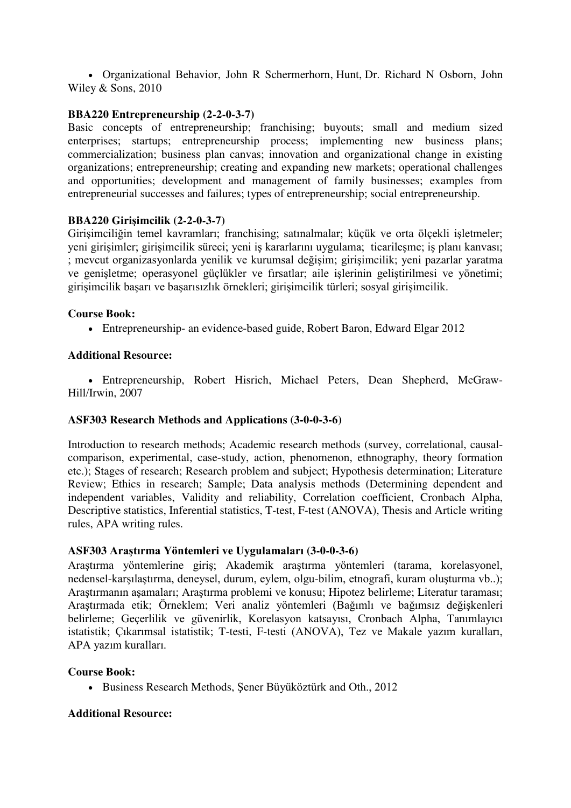Organizational Behavior, [John R Schermerhorn,](http://www.alibris.com/search/books/author/John-R-Schermerhorn) [Hunt,](http://www.alibris.com/search/books/author/Hunt) [Dr. Richard N Osborn,](http://www.alibris.com/search/books/author/Dr.-Richard-N-Osborn) John Wiley & Sons, 2010

### **BBA220 Entrepreneurship (2-2-0-3-7)**

Basic concepts of entrepreneurship; franchising; buyouts; small and medium sized enterprises; startups; entrepreneurship process; implementing new business plans; commercialization; business plan canvas; innovation and organizational change in existing organizations; entrepreneurship; creating and expanding new markets; operational challenges and opportunities; development and management of family businesses; examples from entrepreneurial successes and failures; types of entrepreneurship; social entrepreneurship.

### **BBA220 Girişimcilik (2-2-0-3-7)**

Girişimciliğin temel kavramları; franchising; satınalmalar; küçük ve orta ölçekli işletmeler; yeni girişimler; girişimcilik süreci; yeni iş kararlarını uygulama; ticarileşme; iş planı kanvası; ; mevcut organizasyonlarda yenilik ve kurumsal değişim; girişimcilik; yeni pazarlar yaratma ve genişletme; operasyonel güçlükler ve fırsatlar; aile işlerinin geliştirilmesi ve yönetimi; girişimcilik başarı ve başarısızlık örnekleri; girişimcilik türleri; sosyal girişimcilik.

### **Course Book:**

Entrepreneurship- an evidence-based guide, Robert Baron, Edward Elgar 2012

### **Additional Resource:**

 Entrepreneurship, Robert Hisrich, Michael Peters, Dean Shepherd, McGraw-Hill/Irwin, 2007

## **ASF303 Research Methods and Applications (3-0-0-3-6)**

Introduction to research methods; Academic research methods (survey, correlational, causalcomparison, experimental, case-study, action, phenomenon, ethnography, theory formation etc.); Stages of research; Research problem and subject; Hypothesis determination; Literature Review; Ethics in research; Sample; Data analysis methods (Determining dependent and independent variables, Validity and reliability, Correlation coefficient, Cronbach Alpha, Descriptive statistics, Inferential statistics, T-test, F-test (ANOVA), Thesis and Article writing rules, APA writing rules.

#### **ASF303 Araştırma Yöntemleri ve Uygulamaları (3-0-0-3-6)**

Araştırma yöntemlerine giriş; Akademik araştırma yöntemleri (tarama, korelasyonel, nedensel-karşılaştırma, deneysel, durum, eylem, olgu-bilim, etnografi, kuram oluşturma vb..); Araştırmanın aşamaları; Araştırma problemi ve konusu; Hipotez belirleme; Literatur taraması; Araştırmada etik; Örneklem; Veri analiz yöntemleri (Bağımlı ve bağımsız değişkenleri belirleme; Geçerlilik ve güvenirlik, Korelasyon katsayısı, Cronbach Alpha, Tanımlayıcı istatistik; Çıkarımsal istatistik; T-testi, F-testi (ANOVA), Tez ve Makale yazım kuralları, APA yazım kuralları.

#### **Course Book:**

Business Research Methods, Şener Büyüköztürk and Oth., 2012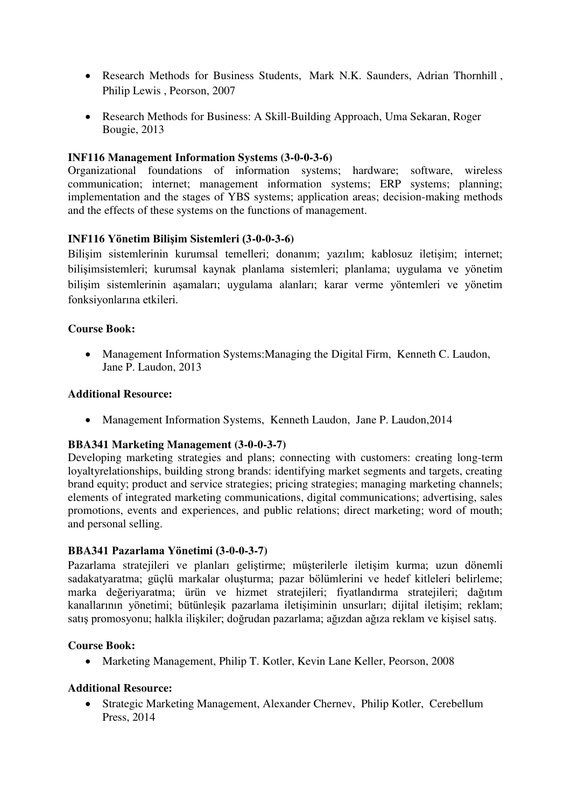- Research Methods for Business Students, [Mark N.K. Saunders,](https://www.amazon.com/Mark-N.K.-Saunders/e/B003E2PP74/ref=dp_byline_cont_book_1) [Adrian Thornhill](https://www.amazon.com/s/ref=dp_byline_sr_book_2?ie=UTF8&text=Adrian+Thornhill&search-alias=books&field-author=Adrian+Thornhill&sort=relevancerank) , [Philip Lewis](https://www.amazon.com/s/ref=dp_byline_sr_book_3?ie=UTF8&text=Philip+Lewis&search-alias=books&field-author=Philip+Lewis&sort=relevancerank) , Peorson, 2007
- Research Methods for Business: A Skill-Building Approach, [Uma Sekaran,](http://www.wiley.com/WileyCDA/Section/id-302475.html?query=Uma+Sekaran) [Roger](http://www.wiley.com/WileyCDA/Section/id-302475.html?query=Roger+Bougie)  [Bougie,](http://www.wiley.com/WileyCDA/Section/id-302475.html?query=Roger+Bougie) 2013

## **INF116 Management Information Systems (3-0-0-3-6)**

Organizational foundations of information systems; hardware; software, wireless communication; internet; management information systems; ERP systems; planning; implementation and the stages of YBS systems; application areas; decision-making methods and the effects of these systems on the functions of management.

### **INF116 Yönetim Bilişim Sistemleri (3-0-0-3-6)**

Bilişim sistemlerinin kurumsal temelleri; donanım; yazılım; kablosuz iletişim; internet; bilişimsistemleri; kurumsal kaynak planlama sistemleri; planlama; uygulama ve yönetim bilişim sistemlerinin aşamaları; uygulama alanları; karar verme yöntemleri ve yönetim fonksiyonlarına etkileri.

### **Course Book:**

 Management Information Systems:Managing the Digital Firm, [Kenneth C. Laudon,](https://www.amazon.com/Kenneth-C.-Laudon/e/B000AQ3MIQ/ref=dp_byline_cont_book_1) [Jane P. Laudon,](https://www.amazon.com/s/ref=dp_byline_sr_book_1?ie=UTF8&text=Kenneth+Laudon+.+Jane+P.+Laudon&search-alias=books&field-author=Kenneth+Laudon+.+Jane+P.+Laudon&sort=relevancerank) 2013

#### **Additional Resource:**

• Management Information Systems, [Kenneth Laudon,](http://www.amazon.in/s/ref=dp_byline_sr_book_1?ie=UTF8&field-author=Kenneth+Laudon&search-alias=stripbooks) [Jane P. Laudon,](http://www.amazon.in/s/ref=dp_byline_sr_book_2?ie=UTF8&field-author=Jane+P.+Laudon&search-alias=stripbooks) 2014

#### **BBA341 Marketing Management (3-0-0-3-7)**

Developing marketing strategies and plans; connecting with customers; creating long-term loyaltyrelationships, building strong brands: identifying market segments and targets, creating brand equity; product and service strategies; pricing strategies; managing marketing channels; elements of integrated marketing communications, digital communications; advertising, sales promotions, events and experiences, and public relations; direct marketing; word of mouth; and personal selling.

#### **BBA341 Pazarlama Yönetimi (3-0-0-3-7)**

Pazarlama stratejileri ve planları geliştirme; müşterilerle iletişim kurma; uzun dönemli sadakatyaratma; güçlü markalar oluşturma; pazar bölümlerini ve hedef kitleleri belirleme; marka değeriyaratma; ürün ve hizmet stratejileri; fiyatlandırma stratejileri; dağıtım kanallarının yönetimi; bütünleşik pazarlama iletişiminin unsurları; dijital iletişim; reklam; satış promosyonu; halkla ilişkiler; doğrudan pazarlama; ağızdan ağıza reklam ve kişisel satış.

#### **Course Book:**

Marketing Management, Philip T. Kotler, Kevin Lane Keller, Peorson, 2008

## **Additional Resource:**

 Strategic Marketing Management, [Alexander Chernev,](https://www.amazon.com/s/ref=dp_byline_sr_book_1?ie=UTF8&text=Alexander+Chernev&search-alias=books&field-author=Alexander+Chernev&sort=relevancerank) [Philip Kotler,](https://www.amazon.com/s/ref=dp_byline_sr_book_2?ie=UTF8&text=Philip+Kotler&search-alias=books&field-author=Philip+Kotler&sort=relevancerank) Cerebellum Press, 2014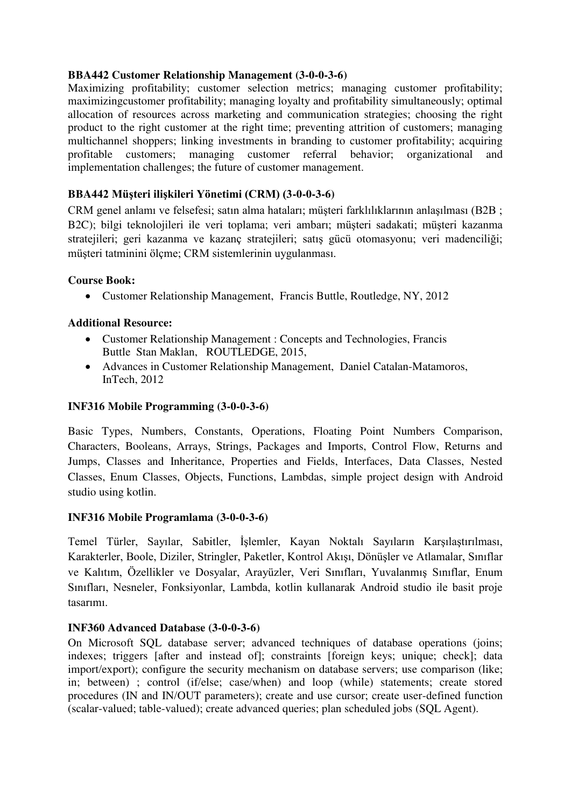### **BBA442 Customer Relationship Management (3-0-0-3-6)**

Maximizing profitability; customer selection metrics; managing customer profitability; maximizingcustomer profitability; managing loyalty and profitability simultaneously; optimal allocation of resources across marketing and communication strategies; choosing the right product to the right customer at the right time; preventing attrition of customers; managing multichannel shoppers; linking investments in branding to customer profitability; acquiring<br>profitable customers: managing customer referral behavior; organizational and managing customer referral behavior; organizational and implementation challenges; the future of customer management.

## **BBA442 Müşteri ilişkileri Yönetimi (CRM) (3-0-0-3-6)**

CRM genel anlamı ve felsefesi; satın alma hataları; müşteri farklılıklarının anlaşılması (B2B ; B2C); bilgi teknolojileri ile veri toplama; veri ambarı; müşteri sadakati; müşteri kazanma stratejileri; geri kazanma ve kazanç stratejileri; satış gücü otomasyonu; veri madenciliği; müşteri tatminini ölçme; CRM sistemlerinin uygulanması.

## **Course Book:**

Customer Relationship Management, [Francis Buttle,](https://www.amazon.com/Francis-Buttle/e/B002QF14U2/ref=dp_byline_cont_book_1) Routledge, NY, 2012

## **Additional Resource:**

- Customer Relationship Management : Concepts and Technologies, [Francis](http://www.bookdepository.com/author/Francis-Buttle)  [Buttle](http://www.bookdepository.com/author/Francis-Buttle) [Stan Maklan,](http://www.bookdepository.com/author/Stan-Maklan) ROUTLEDGE, 2015,
- Advances in Customer Relationship Management, [Daniel Catalan-Matamoros,](http://www.intechopen.com/books/editor/advances-in-customer-relationship-management) InTech, 2012

### **INF316 Mobile Programming (3-0-0-3-6)**

Basic Types, Numbers, Constants, Operations, Floating Point Numbers Comparison, Characters, Booleans, Arrays, Strings, Packages and Imports, Control Flow, Returns and Jumps, Classes and Inheritance, Properties and Fields, Interfaces, Data Classes, Nested Classes, Enum Classes, Objects, Functions, Lambdas, simple project design with Android studio using kotlin.

## **INF316 Mobile Programlama (3-0-0-3-6)**

Temel Türler, Sayılar, Sabitler, İşlemler, Kayan Noktalı Sayıların Karşılaştırılması, Karakterler, Boole, Diziler, Stringler, Paketler, Kontrol Akışı, Dönüşler ve Atlamalar, Sınıflar ve Kalıtım, Özellikler ve Dosyalar, Arayüzler, Veri Sınıfları, Yuvalanmış Sınıflar, Enum Sınıfları, Nesneler, Fonksiyonlar, Lambda, kotlin kullanarak Android studio ile basit proje tasarımı.

## **INF360 Advanced Database (3-0-0-3-6)**

On Microsoft SQL database server; advanced techniques of database operations (joins; indexes; triggers [after and instead of]; constraints [foreign keys; unique; check]; data import/export); configure the security mechanism on database servers; use comparison (like; in; between) ; control (if/else; case/when) and loop (while) statements; create stored procedures (IN and IN/OUT parameters); create and use cursor; create user-defined function (scalar-valued; table-valued); create advanced queries; plan scheduled jobs (SQL Agent).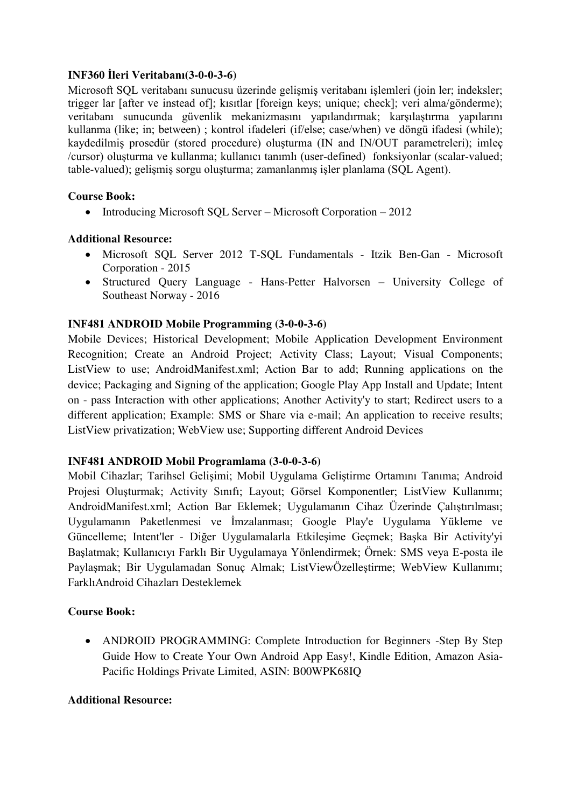## **INF360 İleri Veritabanı(3-0-0-3-6)**

Microsoft SQL veritabanı sunucusu üzerinde gelişmiş veritabanı işlemleri (join ler; indeksler; trigger lar [after ve instead of]; kısıtlar [foreign keys; unique; check]; veri alma/gönderme); veritabanı sunucunda güvenlik mekanizmasını yapılandırmak; karşılaştırma yapılarını kullanma (like; in; between) ; kontrol ifadeleri (if/else; case/when) ve döngü ifadesi (while); kaydedilmiş prosedür (stored procedure) oluşturma (IN and IN/OUT parametreleri); imleç /cursor) oluşturma ve kullanma; kullanıcı tanımlı (user-defined) fonksiyonlar (scalar-valued; table-valued); gelişmiş sorgu oluşturma; zamanlanmış işler planlama (SQL Agent).

## **Course Book:**

• Introducing Microsoft SQL Server – Microsoft Corporation – 2012

# **Additional Resource:**

- Microsoft SQL Server 2012 T-SQL Fundamentals Itzik Ben-Gan Microsoft Corporation - 2015
- Structured Query Language Hans-Petter Halvorsen University College of Southeast Norway - 2016

# **INF481 ANDROID Mobile Programming (3-0-0-3-6)**

Mobile Devices; Historical Development; Mobile Application Development Environment Recognition; Create an Android Project; Activity Class; Layout; Visual Components; ListView to use; AndroidManifest.xml; Action Bar to add; Running applications on the device; Packaging and Signing of the application; Google Play App Install and Update; Intent on - pass Interaction with other applications; Another Activity'y to start; Redirect users to a different application; Example: SMS or Share via e-mail; An application to receive results; ListView privatization; WebView use; Supporting different Android Devices

## **INF481 ANDROID Mobil Programlama (3-0-0-3-6)**

Mobil Cihazlar; Tarihsel Gelişimi; Mobil Uygulama Geliştirme Ortamını Tanıma; Android Projesi Oluşturmak; Activity Sınıfı; Layout; Görsel Komponentler; ListView Kullanımı; AndroidManifest.xml; Action Bar Eklemek; Uygulamanın Cihaz Üzerinde Çalıştırılması; Uygulamanın Paketlenmesi ve İmzalanması; Google Play'e Uygulama Yükleme ve Güncelleme; Intent'ler - Diğer Uygulamalarla Etkileşime Geçmek; Başka Bir Activity'yi Başlatmak; Kullanıcıyı Farklı Bir Uygulamaya Yönlendirmek; Örnek: SMS veya E-posta ile Paylaşmak; Bir Uygulamadan Sonuç Almak; ListViewÖzelleştirme; WebView Kullanımı; FarklıAndroid Cihazları Desteklemek

# **Course Book:**

• ANDROID PROGRAMMING: Complete Introduction for Beginners -Step By Step Guide How to Create Your Own Android App Easy!, Kindle Edition, Amazon Asia-Pacific Holdings Private Limited, ASIN: B00WPK68IQ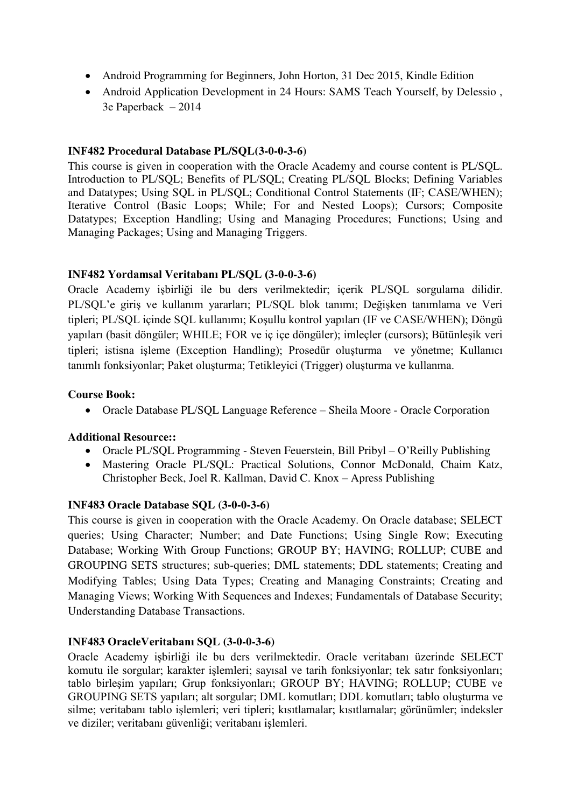- Android Programming for Beginners, John Horton, 31 Dec 2015, Kindle Edition
- Android Application Development in 24 Hours: SAMS Teach Yourself, by Delessio, 3e Paperback – 2014

### **INF482 Procedural Database PL/SQL(3-0-0-3-6)**

This course is given in cooperation with the Oracle Academy and course content is PL/SQL. Introduction to PL/SQL; Benefits of PL/SQL; Creating PL/SQL Blocks; Defining Variables and Datatypes; Using SQL in PL/SQL; Conditional Control Statements (IF; CASE/WHEN); Iterative Control (Basic Loops; While; For and Nested Loops); Cursors; Composite Datatypes; Exception Handling; Using and Managing Procedures; Functions; Using and Managing Packages; Using and Managing Triggers.

### **INF482 Yordamsal Veritabanı PL/SQL (3-0-0-3-6)**

Oracle Academy işbirliği ile bu ders verilmektedir; içerik PL/SQL sorgulama dilidir. PL/SQL'e giriş ve kullanım yararları; PL/SQL blok tanımı; Değişken tanımlama ve Veri tipleri; PL/SQL içinde SQL kullanımı; Koşullu kontrol yapıları (IF ve CASE/WHEN); Döngü yapıları (basit döngüler; WHILE; FOR ve iç içe döngüler); imleçler (cursors); Bütünleşik veri tipleri; istisna işleme (Exception Handling); Prosedür oluşturma ve yönetme; Kullanıcı tanımlı fonksiyonlar; Paket oluşturma; Tetikleyici (Trigger) oluşturma ve kullanma.

### **Course Book:**

Oracle Database PL/SQL Language Reference – Sheila Moore - Oracle Corporation

## **Additional Resource::**

- Oracle PL/SQL Programming Steven Feuerstein, Bill Pribyl O'Reilly Publishing
- Mastering Oracle PL/SQL: Practical Solutions, Connor McDonald, Chaim Katz, Christopher Beck, Joel R. Kallman, David C. Knox – Apress Publishing

#### **INF483 Oracle Database SQL (3-0-0-3-6)**

This course is given in cooperation with the Oracle Academy. On Oracle database; SELECT queries; Using Character; Number; and Date Functions; Using Single Row; Executing Database; Working With Group Functions; GROUP BY; HAVING; ROLLUP; CUBE and GROUPING SETS structures; sub-queries; DML statements; DDL statements; Creating and Modifying Tables; Using Data Types; Creating and Managing Constraints; Creating and Managing Views; Working With Sequences and Indexes; Fundamentals of Database Security; Understanding Database Transactions.

#### **INF483 OracleVeritabanı SQL (3-0-0-3-6)**

Oracle Academy işbirliği ile bu ders verilmektedir. Oracle veritabanı üzerinde SELECT komutu ile sorgular; karakter işlemleri; sayısal ve tarih fonksiyonlar; tek satır fonksiyonları; tablo birleşim yapıları; Grup fonksiyonları; GROUP BY; HAVING; ROLLUP; CUBE ve GROUPING SETS yapıları; alt sorgular; DML komutları; DDL komutları; tablo oluşturma ve silme; veritabanı tablo işlemleri; veri tipleri; kısıtlamalar; kısıtlamalar; görünümler; indeksler ve diziler; veritabanı güvenliği; veritabanı işlemleri.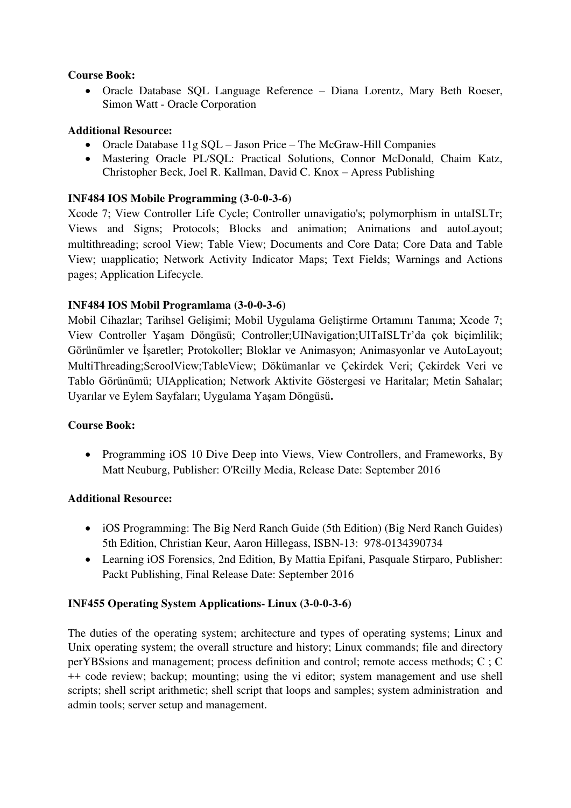### **Course Book:**

 Oracle Database SQL Language Reference – Diana Lorentz, Mary Beth Roeser, Simon Watt - Oracle Corporation

## **Additional Resource:**

- Oracle Database 11g SOL Jason Price The McGraw-Hill Companies
- Mastering Oracle PL/SQL: Practical Solutions, Connor McDonald, Chaim Katz, Christopher Beck, Joel R. Kallman, David C. Knox – Apress Publishing

## **INF484 IOS Mobile Programming (3-0-0-3-6)**

Xcode 7; View Controller Life Cycle; Controller uınavigatio's; polymorphism in uıtaISLTr; Views and Signs; Protocols; Blocks and animation; Animations and autoLayout; multithreading; scrool View; Table View; Documents and Core Data; Core Data and Table View; uıapplicatio; Network Activity Indicator Maps; Text Fields; Warnings and Actions pages; Application Lifecycle.

### **INF484 IOS Mobil Programlama (3-0-0-3-6)**

Mobil Cihazlar; Tarihsel Gelişimi; Mobil Uygulama Geliştirme Ortamını Tanıma; Xcode 7; View Controller Yaşam Döngüsü; Controller;UINavigation;UITaISLTr'da çok biçimlilik; Görünümler ve İşaretler; Protokoller; Bloklar ve Animasyon; Animasyonlar ve AutoLayout; MultiThreading;ScroolView;TableView; Dökümanlar ve Çekirdek Veri; Çekirdek Veri ve Tablo Görünümü; UIApplication; Network Aktivite Göstergesi ve Haritalar; Metin Sahalar; Uyarılar ve Eylem Sayfaları; Uygulama Yaşam Döngüsü**.** 

#### **Course Book:**

• Programming iOS 10 Dive Deep into Views, View Controllers, and Frameworks, By Matt Neuburg, Publisher: O'Reilly Media, Release Date: September 2016

#### **Additional Resource:**

- iOS Programming: The Big Nerd Ranch Guide (5th Edition) (Big Nerd Ranch Guides) 5th Edition, Christian Keur, Aaron Hillegass, ISBN-13: 978-0134390734
- Learning iOS Forensics, 2nd Edition, By Mattia Epifani, Pasquale Stirparo, Publisher: Packt Publishing, Final Release Date: September 2016

## **INF455 Operating System Applications- Linux (3-0-0-3-6)**

The duties of the operating system; architecture and types of operating systems; Linux and Unix operating system; the overall structure and history; Linux commands; file and directory perYBSsions and management; process definition and control; remote access methods; C ; C ++ code review; backup; mounting; using the vi editor; system management and use shell scripts; shell script arithmetic; shell script that loops and samples; system administration and admin tools; server setup and management.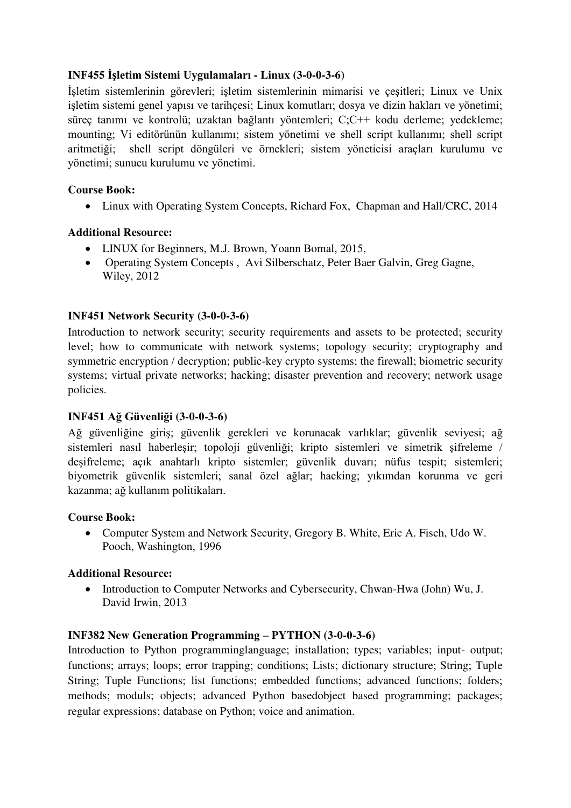# **INF455 İşletim Sistemi Uygulamaları - Linux (3-0-0-3-6)**

İşletim sistemlerinin görevleri; işletim sistemlerinin mimarisi ve çeşitleri; Linux ve Unix işletim sistemi genel yapısı ve tarihçesi; Linux komutları; dosya ve dizin hakları ve yönetimi; süreç tanımı ve kontrolü; uzaktan bağlantı yöntemleri; C;C++ kodu derleme; yedekleme; mounting; Vi editörünün kullanımı; sistem yönetimi ve shell script kullanımı; shell script aritmetiği; shell script döngüleri ve örnekleri; sistem yöneticisi araçları kurulumu ve yönetimi; sunucu kurulumu ve yönetimi.

## **Course Book:**

• Linux with Operating System Concepts, Richard Fox, Chapman and Hall/CRC, 2014

## **Additional Resource:**

- LINUX for Beginners, [M.J. Brown,](https://www.amazon.com/s/ref=dp_byline_sr_ebooks_1?ie=UTF8&text=M.J.+Brown&search-alias=digital-text&field-author=M.J.+Brown&sort=relevancerank) Yoann Bomal, 2015,
- Operating System Concepts , [Avi Silberschatz,](http://www.cs.yale.edu/homes/avi) [Peter Baer Galvin,](http://www.galvin.info/) [Greg Gagne,](http://people.westminstercollege.edu/faculty/ggagne) Wiley, 2012

### **INF451 Network Security (3-0-0-3-6)**

Introduction to network security; security requirements and assets to be protected; security level; how to communicate with network systems; topology security; cryptography and symmetric encryption / decryption; public-key crypto systems; the firewall; biometric security systems; virtual private networks; hacking; disaster prevention and recovery; network usage policies.

#### **INF451 Ağ Güvenliği (3-0-0-3-6)**

Ağ güvenliğine giriş; güvenlik gerekleri ve korunacak varlıklar; güvenlik seviyesi; ağ sistemleri nasıl haberleşir; topoloji güvenliği; kripto sistemleri ve simetrik şifreleme / deşifreleme; açık anahtarlı kripto sistemler; güvenlik duvarı; nüfus tespit; sistemleri; biyometrik güvenlik sistemleri; sanal özel ağlar; hacking; yıkımdan korunma ve geri kazanma; ağ kullanım politikaları.

#### **Course Book:**

 Computer System and Network Security, Gregory B. White, Eric A. Fisch, Udo W. Pooch, Washington, 1996

#### **Additional Resource:**

• Introduction to Computer Networks and Cybersecurity, Chwan-Hwa (John) Wu, J. David Irwin, 2013

#### **INF382 New Generation Programming – PYTHON (3-0-0-3-6)**

Introduction to Python programminglanguage; installation; types; variables; input- output; functions; arrays; loops; error trapping; conditions; Lists; dictionary structure; String; Tuple String; Tuple Functions; list functions; embedded functions; advanced functions; folders; methods; moduls; objects; advanced Python basedobject based programming; packages; regular expressions; database on Python; voice and animation.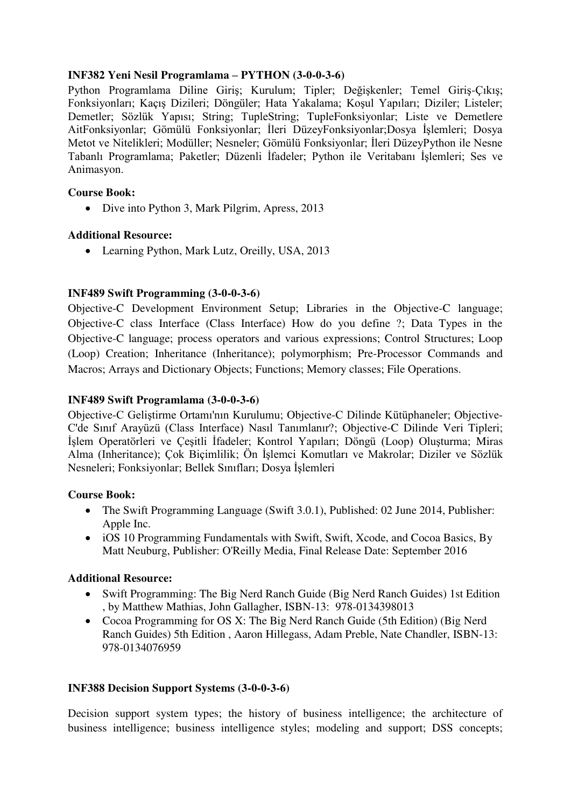## **INF382 Yeni Nesil Programlama – PYTHON (3-0-0-3-6)**

Python Programlama Diline Giriş; Kurulum; Tipler; Değişkenler; Temel Giriş-Çıkış; Fonksiyonları; Kaçış Dizileri; Döngüler; Hata Yakalama; Koşul Yapıları; Diziler; Listeler; Demetler; Sözlük Yapısı; String; TupleString; TupleFonksiyonlar; Liste ve Demetlere AitFonksiyonlar; Gömülü Fonksiyonlar; İleri DüzeyFonksiyonlar;Dosya İşlemleri; Dosya Metot ve Nitelikleri; Modüller; Nesneler; Gömülü Fonksiyonlar; İleri DüzeyPython ile Nesne Tabanlı Programlama; Paketler; Düzenli İfadeler; Python ile Veritabanı İşlemleri; Ses ve Animasyon.

### **Course Book:**

• Dive into Python 3, Mark Pilgrim, Apress, 2013

### **Additional Resource:**

• Learning Python, [Mark Lutz,](https://www.amazon.com/Mark-Lutz/e/B000APH2C4/ref=dp_byline_cont_book_1) Oreilly, USA, 2013

## **INF489 Swift Programming (3-0-0-3-6)**

Objective-C Development Environment Setup; Libraries in the Objective-C language; Objective-C class Interface (Class Interface) How do you define ?; Data Types in the Objective-C language; process operators and various expressions; Control Structures; Loop (Loop) Creation; Inheritance (Inheritance); polymorphism; Pre-Processor Commands and Macros; Arrays and Dictionary Objects; Functions; Memory classes; File Operations.

## **INF489 Swift Programlama (3-0-0-3-6)**

Objective-[C Geliştirme Ortamı'nın Kurulumu](https://gelecegiyazanlar.turkcell.com.tr/konu/ios/egitim/ios-101/objective-c-gelistirme-ortaminin-kurulumu); Objective-[C Dilinde Kütüphaneler](https://gelecegiyazanlar.turkcell.com.tr/konu/ios/egitim/ios-101/objective-c-dilinde-kutuphaneler); [Objective-](https://gelecegiyazanlar.turkcell.com.tr/konu/ios/egitim/ios-101/objective-cde-sinif-arayuzu-class-interface-nasil-tanimlanir)[C'de Sınıf Arayüzü \(Class Interface\) Nasıl Tanımlanır?](https://gelecegiyazanlar.turkcell.com.tr/konu/ios/egitim/ios-101/objective-cde-sinif-arayuzu-class-interface-nasil-tanimlanir); [Objective-C Dilinde Veri Tipleri;](https://gelecegiyazanlar.turkcell.com.tr/konu/ios/egitim/ios-101/objective-c-dilinde-veri-tipleri-islem-operatorleri-ve-cesitli-ifadeler)  [İşlem Operatörleri ve Çeşitli İfadeler](https://gelecegiyazanlar.turkcell.com.tr/konu/ios/egitim/ios-101/objective-c-dilinde-veri-tipleri-islem-operatorleri-ve-cesitli-ifadeler); [Kontrol Yapıları](https://gelecegiyazanlar.turkcell.com.tr/konu/ios/egitim/ios-101/kontrol-yapilari); [Döngü \(Loop\) Oluşturma](https://gelecegiyazanlar.turkcell.com.tr/konu/ios/egitim/ios-101/dongu-loop-olusturma); [Miras](https://gelecegiyazanlar.turkcell.com.tr/konu/ios/egitim/ios-101/miras-alma-inheritance-cok-bicimlilik)  [Alma \(Inheritance\); Çok Biçimlilik](https://gelecegiyazanlar.turkcell.com.tr/konu/ios/egitim/ios-101/miras-alma-inheritance-cok-bicimlilik); [Ön İşlemci Komutları ve Makrolar](https://gelecegiyazanlar.turkcell.com.tr/konu/ios/egitim/ios-101/on-islemci-komutlari-ve-makrolar); [Diziler ve Sözlük](https://gelecegiyazanlar.turkcell.com.tr/konu/ios/egitim/ios-101/diziler-ve-sozluk-nesneleri)  [Nesneleri;](https://gelecegiyazanlar.turkcell.com.tr/konu/ios/egitim/ios-101/diziler-ve-sozluk-nesneleri) [Fonksiyonlar;](https://gelecegiyazanlar.turkcell.com.tr/konu/ios/egitim/ios-101/fonksiyonlar) [Bellek Sınıfları](https://gelecegiyazanlar.turkcell.com.tr/konu/ios/egitim/ios-101/bellek-siniflari); Do[sya İşlemleri](https://gelecegiyazanlar.turkcell.com.tr/konu/ios/egitim/ios-101/dosya-islemleri)

#### **Course Book:**

- The Swift Programming Language (Swift 3.0.1), Published: 02 June 2014, Publisher: Apple Inc.
- iOS 10 Programming Fundamentals with Swift, Swift, Xcode, and Cocoa Basics, By Matt Neuburg, Publisher: O'Reilly Media, Final Release Date: September 2016

#### **Additional Resource:**

- Swift Programming: The Big Nerd Ranch Guide (Big Nerd Ranch Guides) 1st Edition , by Matthew Mathias, John Gallagher, ISBN-13: 978-0134398013
- Cocoa Programming for OS X: The Big Nerd Ranch Guide (5th Edition) (Big Nerd Ranch Guides) 5th Edition , Aaron Hillegass, Adam Preble, Nate Chandler, ISBN-13: 978-0134076959

#### **INF388 Decision Support Systems (3-0-0-3-6)**

Decision support system types; the history of business intelligence; the architecture of business intelligence; business intelligence styles; modeling and support; DSS concepts;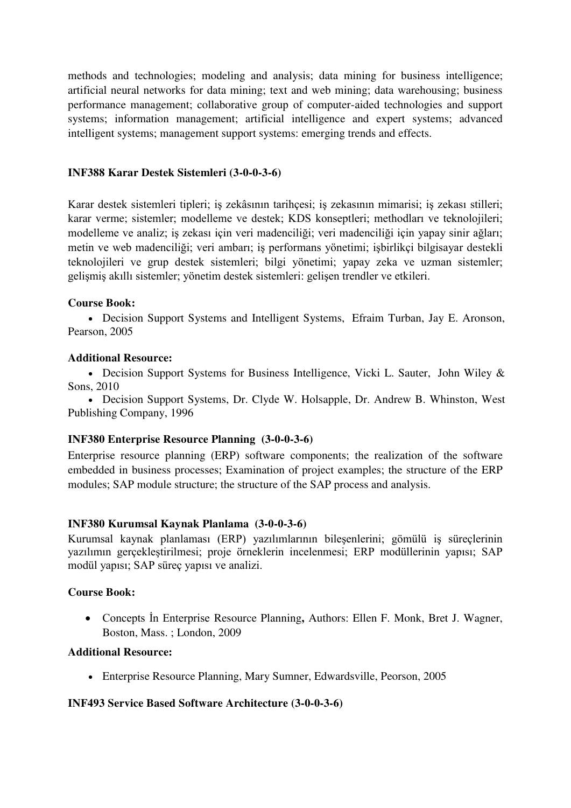methods and technologies; modeling and analysis; data mining for business intelligence; artificial neural networks for data mining; text and web mining; data warehousing; business performance management; collaborative group of computer-aided technologies and support systems; information management; artificial intelligence and expert systems; advanced intelligent systems; management support systems: emerging trends and effects.

### **INF388 Karar Destek Sistemleri (3-0-0-3-6)**

Karar destek sistemleri tipleri; iş zekâsının tarihçesi; iş zekasının mimarisi; iş zekası stilleri; karar verme; sistemler; modelleme ve destek; KDS konseptleri; methodları ve teknolojileri; modelleme ve analiz; iş zekası için veri madenciliği; veri madenciliği için yapay sinir ağları; metin ve web madenciliği; veri ambarı; iş performans yönetimi; işbirlikçi bilgisayar destekli teknolojileri ve grup destek sistemleri; bilgi yönetimi; yapay zeka ve uzman sistemler; gelişmiş akıllı sistemler; yönetim destek sistemleri: gelişen trendler ve etkileri.

### **Course Book:**

 Decision Support Systems and Intelligent Systems, Efraim Turban, Jay E. Aronson, Pearson, 2005

#### **Additional Resource:**

• Decision Support Systems for Business Intelligence, Vicki L. Sauter, John Wiley & Sons, 2010

 Decision Support Systems, [Dr. Clyde W. Holsapple,](http://gatton.uky.edu/Directory/DetailsL.asp?DeptID=4&EmployeeID=72) [Dr. Andrew B. Whinston,](http://crec.mccombs.utexas.edu/abw/main.html) West Publishing Company, 1996

#### **INF380 [Enterprise Resource Planning](http://tureng.com/tr/turkce-ingilizce/enterprise%20resource%20planning) (3-0-0-3-6)**

Enterprise resource planning (ERP) software components; the realization of the software embedded in business processes; Examination of project examples; the structure of the ERP modules; SAP module structure; the structure of the SAP process and analysis.

#### **INF380 Kurumsal Kaynak Planlama (3-0-0-3-6)**

Kurumsal kaynak planlaması (ERP) yazılımlarının bileşenlerini; gömülü iş süreçlerinin yazılımın gerçekleştirilmesi; proje örneklerin incelenmesi; ERP modüllerinin yapısı; SAP modül yapısı; SAP süreç yapısı ve analizi.

#### **Course Book:**

 Concepts İn Enterprise Resource Planning**,** Authors: Ellen F. Monk, Bret J. Wagner, Boston, Mass. ; London, 2009

#### **Additional Resource:**

Enterprise Resource Planning, Mary Sumner, Edwardsville, Peorson, 2005

## **INF493 Service Based Software Architecture (3-0-0-3-6)**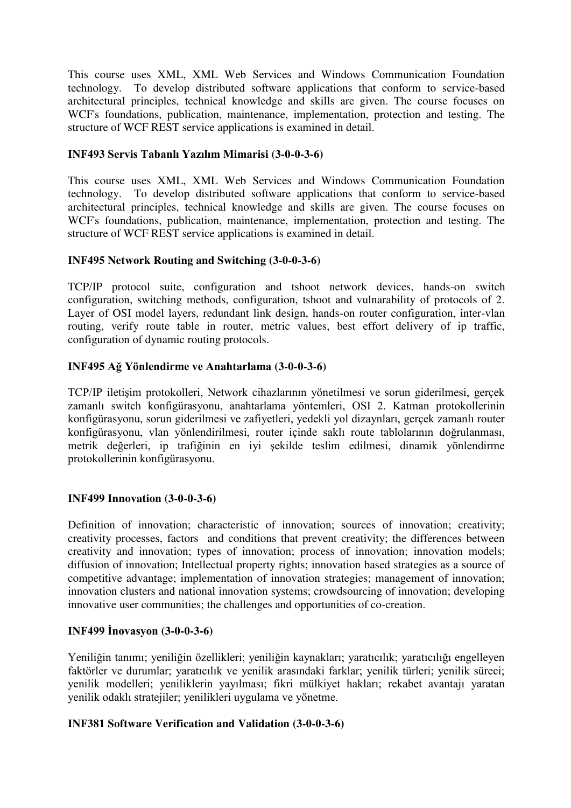This course uses XML, XML Web Services and Windows Communication Foundation technology. To develop distributed software applications that conform to service-based architectural principles, technical knowledge and skills are given. The course focuses on WCF's foundations, publication, maintenance, implementation, protection and testing. The structure of WCF REST service applications is examined in detail.

### **INF493 Servis Tabanlı Yazılım Mimarisi (3-0-0-3-6)**

This course uses XML, XML Web Services and Windows Communication Foundation technology. To develop distributed software applications that conform to service-based architectural principles, technical knowledge and skills are given. The course focuses on WCF's foundations, publication, maintenance, implementation, protection and testing. The structure of WCF REST service applications is examined in detail.

### **INF495 Network Routing and Switching (3-0-0-3-6)**

TCP/IP protocol suite, configuration and tshoot network devices, hands-on switch configuration, switching methods, configuration, tshoot and vulnarability of protocols of 2. Layer of OSI model layers, redundant link design, hands-on router configuration, inter-vlan routing, verify route table in router, metric values, best effort delivery of ip traffic, configuration of dynamic routing protocols.

### **INF495 Ağ Yönlendirme ve Anahtarlama (3-0-0-3-6)**

TCP/IP iletişim protokolleri, Network cihazlarının yönetilmesi ve sorun giderilmesi, gerçek zamanlı switch konfigürasyonu, anahtarlama yöntemleri, OSI 2. Katman protokollerinin konfigürasyonu, sorun giderilmesi ve zafiyetleri, yedekli yol dizaynları, gerçek zamanlı router konfigürasyonu, vlan yönlendirilmesi, router içinde saklı route tablolarının doğrulanması, metrik değerleri, ip trafiğinin en iyi şekilde teslim edilmesi, dinamik yönlendirme protokollerinin konfigürasyonu.

#### **INF499 Innovation (3-0-0-3-6)**

Definition of innovation; characteristic of innovation; sources of innovation; creativity; creativity processes, factors and conditions that prevent creativity; the differences between creativity and innovation; types of innovation; process of innovation; innovation models; diffusion of innovation; Intellectual property rights; innovation based strategies as a source of competitive advantage; implementation of innovation strategies; management of innovation; innovation clusters and national innovation systems; crowdsourcing of innovation; developing innovative user communities; the challenges and opportunities of co-creation.

## **INF499 İnovasyon (3-0-0-3-6)**

Yeniliğin tanımı; yeniliğin özellikleri; yeniliğin kaynakları; yaratıcılık; yaratıcılığı engelleyen faktörler ve durumlar; yaratıcılık ve yenilik arasındaki farklar; yenilik türleri; yenilik süreci; yenilik modelleri; yeniliklerin yayılması; fikri mülkiyet hakları; rekabet avantajı yaratan yenilik odaklı stratejiler; yenilikleri uygulama ve yönetme.

#### **INF381 Software Verification and Validation (3-0-0-3-6)**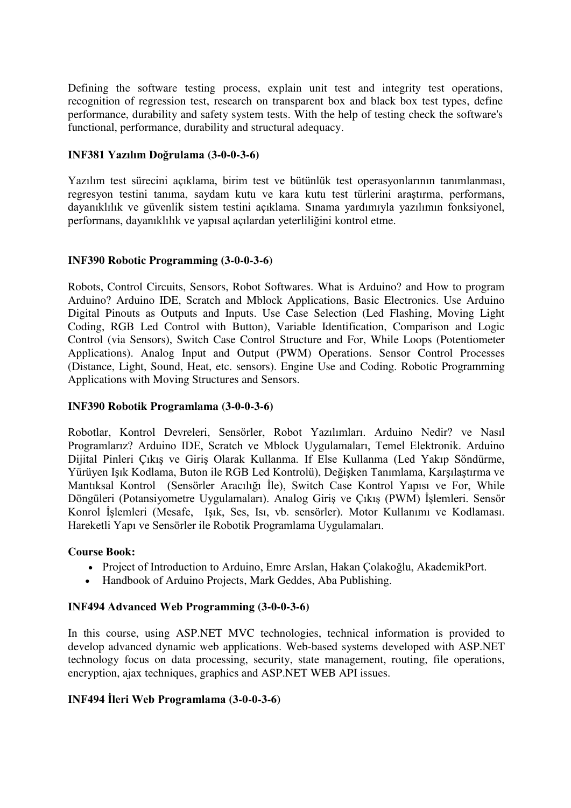Defining the software testing process, explain unit test and integrity test operations, recognition of regression test, research on transparent box and black box test types, define performance, durability and safety system tests. With the help of testing check the software's functional, performance, durability and structural adequacy.

### **INF381 Yazılım Doğrulama (3-0-0-3-6)**

Yazılım test sürecini açıklama, birim test ve bütünlük test operasyonlarının tanımlanması, regresyon testini tanıma, saydam kutu ve kara kutu test türlerini araştırma, performans, dayanıklılık ve güvenlik sistem testini açıklama. Sınama yardımıyla yazılımın fonksiyonel, performans, dayanıklılık ve yapısal açılardan yeterliliğini kontrol etme.

### **INF390 Robotic Programming (3-0-0-3-6)**

Robots, Control Circuits, Sensors, Robot Softwares. What is Arduino? and How to program Arduino? Arduino IDE, Scratch and Mblock Applications, Basic Electronics. Use Arduino Digital Pinouts as Outputs and Inputs. Use Case Selection (Led Flashing, Moving Light Coding, RGB Led Control with Button), Variable Identification, Comparison and Logic Control (via Sensors), Switch Case Control Structure and For, While Loops (Potentiometer Applications). Analog Input and Output (PWM) Operations. Sensor Control Processes (Distance, Light, Sound, Heat, etc. sensors). Engine Use and Coding. Robotic Programming Applications with Moving Structures and Sensors.

### **INF390 Robotik Programlama (3-0-0-3-6)**

Robotlar, Kontrol Devreleri, Sensörler, Robot Yazılımları. Arduino Nedir? ve Nasıl Programlarız? Arduino IDE, Scratch ve Mblock Uygulamaları, Temel Elektronik. Arduino Dijital Pinleri Çıkış ve Giriş Olarak Kullanma. If Else Kullanma (Led Yakıp Söndürme, Yürüyen Işık Kodlama, Buton ile RGB Led Kontrolü), Değişken Tanımlama, Karşılaştırma ve Mantıksal Kontrol (Sensörler Aracılığı İle), Switch Case Kontrol Yapısı ve For, While Döngüleri (Potansiyometre Uygulamaları). Analog Giriş ve Çıkış (PWM) İşlemleri. Sensör Konrol İşlemleri (Mesafe, Işık, Ses, Isı, vb. sensörler). Motor Kullanımı ve Kodlaması. Hareketli Yapı ve Sensörler ile Robotik Programlama Uygulamaları.

#### **Course Book:**

- Project of Introduction to Arduino, Emre Arslan, Hakan Çolakoğlu, AkademikPort.
- Handbook of Arduino Projects, Mark Geddes, Aba Publishing.

#### **INF494 Advanced Web Programming (3-0-0-3-6)**

In this course, using ASP.NET MVC technologies, technical information is provided to develop advanced dynamic web applications. Web-based systems developed with ASP.NET technology focus on data processing, security, state management, routing, file operations, encryption, ajax techniques, graphics and ASP.NET WEB API issues.

## **INF494 İleri Web Programlama (3-0-0-3-6)**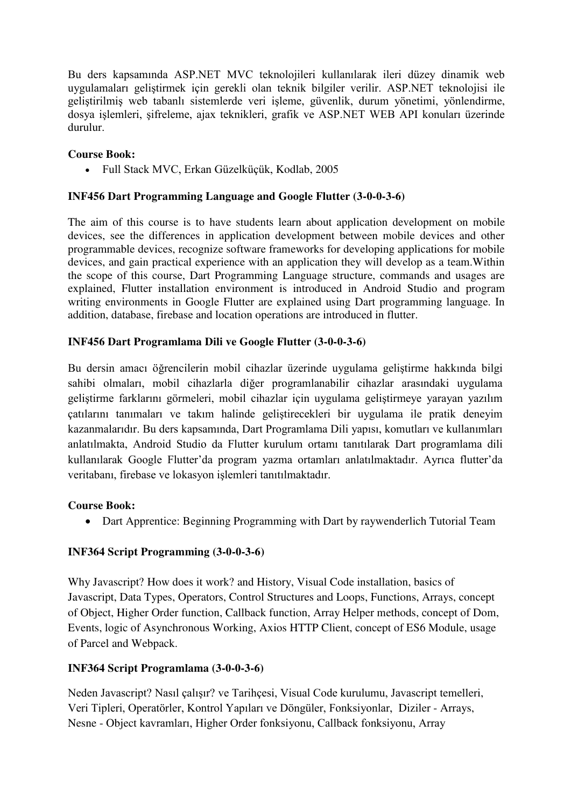Bu ders kapsamında ASP.NET MVC teknolojileri kullanılarak ileri düzey dinamik web uygulamaları geliştirmek için gerekli olan teknik bilgiler verilir. ASP.NET teknolojisi ile geliştirilmiş web tabanlı sistemlerde veri işleme, güvenlik, durum yönetimi, yönlendirme, dosya işlemleri, şifreleme, ajax teknikleri, grafik ve ASP.NET WEB API konuları üzerinde durulur.

## **Course Book:**

Full Stack MVC, Erkan Güzelküçük, Kodlab, 2005

# **INF456 Dart Programming Language and Google Flutter (3-0-0-3-6)**

The aim of this course is to have students learn about application development on mobile devices, see the differences in application development between mobile devices and other programmable devices, recognize software frameworks for developing applications for mobile devices, and gain practical experience with an application they will develop as a team.Within the scope of this course, Dart Programming Language structure, commands and usages are explained, Flutter installation environment is introduced in Android Studio and program writing environments in Google Flutter are explained using Dart programming language. In addition, database, firebase and location operations are introduced in flutter.

# **INF456 Dart Programlama Dili ve Google Flutter (3-0-0-3-6)**

Bu dersin amacı öğrencilerin mobil cihazlar üzerinde uygulama geliştirme hakkında bilgi sahibi olmaları, mobil cihazlarla diğer programlanabilir cihazlar arasındaki uygulama geliştirme farklarını görmeleri, mobil cihazlar için uygulama geliştirmeye yarayan yazılım çatılarını tanımaları ve takım halinde geliştirecekleri bir uygulama ile pratik deneyim kazanmalarıdır. Bu ders kapsamında, Dart Programlama Dili yapısı, komutları ve kullanımları anlatılmakta, Android Studio da Flutter kurulum ortamı tanıtılarak Dart programlama dili kullanılarak Google Flutter'da program yazma ortamları anlatılmaktadır. Ayrıca flutter'da veritabanı, firebase ve lokasyon işlemleri tanıtılmaktadır.

## **Course Book:**

Dart Apprentice: Beginning Programming with Dart by [raywenderlich Tutorial Team](https://www.amazon.com/s/ref=dp_byline_sr_book_1?ie=UTF8&field-author=raywenderlich+Tutorial+Team&text=raywenderlich+Tutorial+Team&sort=relevancerank&search-alias=books) 

# **INF364 Script Programming (3-0-0-3-6)**

Why Javascript? How does it work? and History, Visual Code installation, basics of Javascript, Data Types, Operators, Control Structures and Loops, Functions, Arrays, concept of Object, Higher Order function, Callback function, Array Helper methods, concept of Dom, Events, logic of Asynchronous Working, Axios HTTP Client, concept of ES6 Module, usage of Parcel and Webpack.

# **INF364 Script Programlama (3-0-0-3-6)**

Neden Javascript? Nasıl çalışır? ve Tarihçesi, Visual Code kurulumu, Javascript temelleri, Veri Tipleri, Operatörler, Kontrol Yapıları ve Döngüler, Fonksiyonlar, Diziler - Arrays, Nesne - Object kavramları, Higher Order fonksiyonu, Callback fonksiyonu, Array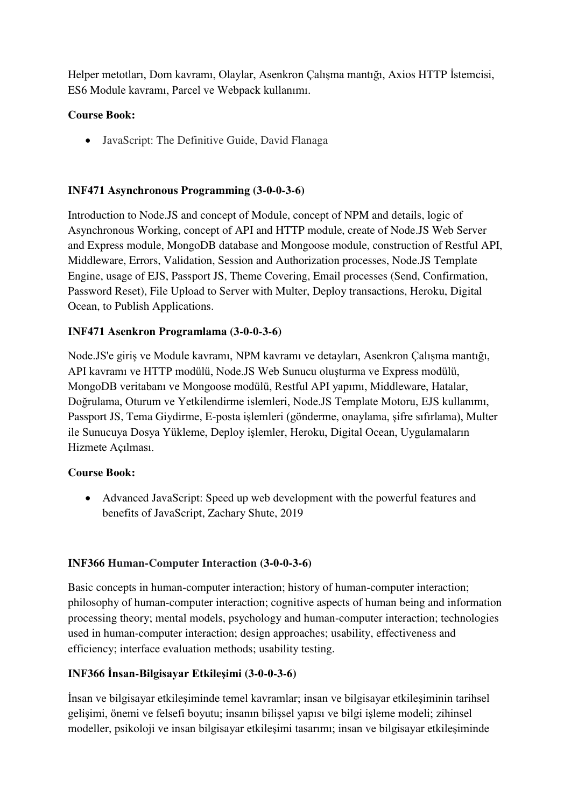Helper metotları, Dom kavramı, Olaylar, Asenkron Çalışma mantığı, Axios HTTP İstemcisi, ES6 Module kavramı, Parcel ve Webpack kullanımı.

# **Course Book:**

JavaScript: The Definitive Guide, David Flanaga

# **INF471 Asynchronous Programming (3-0-0-3-6)**

Introduction to Node.JS and concept of Module, concept of NPM and details, logic of Asynchronous Working, concept of API and HTTP module, create of Node.JS Web Server and Express module, MongoDB database and Mongoose module, construction of Restful API, Middleware, Errors, Validation, Session and Authorization processes, Node.JS Template Engine, usage of EJS, Passport JS, Theme Covering, Email processes (Send, Confirmation, Password Reset), File Upload to Server with Multer, Deploy transactions, Heroku, Digital Ocean, to Publish Applications.

# **INF471 Asenkron Programlama (3-0-0-3-6)**

Node.JS'e giriş ve Module kavramı, NPM kavramı ve detayları, Asenkron Çalışma mantığı, API kavramı ve HTTP modülü, Node.JS Web Sunucu oluşturma ve Express modülü, MongoDB veritabanı ve Mongoose modülü, Restful API yapımı, Middleware, Hatalar, Doğrulama, Oturum ve Yetkilendirme islemleri, Node.JS Template Motoru, EJS kullanımı, Passport JS, Tema Giydirme, E-posta işlemleri (gönderme, onaylama, şifre sıfırlama), Multer ile Sunucuya Dosya Yükleme, Deploy işlemler, Heroku, Digital Ocean, Uygulamaların Hizmete Açılması.

## **Course Book:**

 Advanced JavaScript: Speed up web development with the powerful features and benefits of JavaScript, [Zachary Shute,](https://www.amazon.com.tr/s/ref=dp_byline_sr_book_1?ie=UTF8&field-author=Zachary+Shute&search-alias=books) 2019

## **INF366 Human-Computer Interaction (3-0-0-3-6)**

Basic concepts in human-computer interaction; history of human-computer interaction; philosophy of human-computer interaction; cognitive aspects of human being and information processing theory; mental models, psychology and human-computer interaction; technologies used in human-computer interaction; design approaches; usability, effectiveness and efficiency; interface evaluation methods; usability testing.

## **INF366 İnsan-Bilgisayar Etkileşimi (3-0-0-3-6)**

İnsan ve bilgisayar etkileşiminde temel kavramlar; insan ve bilgisayar etkileşiminin tarihsel gelişimi, önemi ve felsefi boyutu; insanın bilişsel yapısı ve bilgi işleme modeli; zihinsel modeller, psikoloji ve insan bilgisayar etkileşimi tasarımı; insan ve bilgisayar etkileşiminde